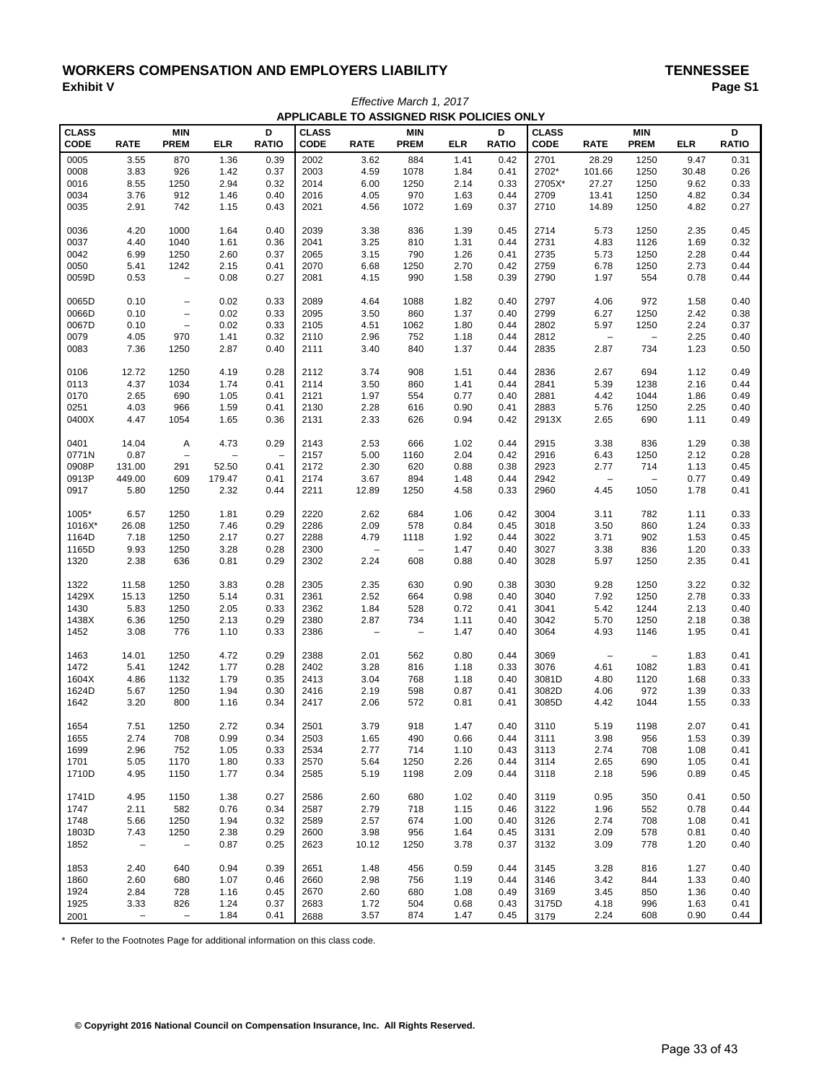## WORKERS COMPENSATION AND EMPLOYERS LIABILITY<br>Exhibit V Page S **Exhibit V Page S1** *Effective March 1, 2017*

| APPLICABLE TO ASSIGNED RISK POLICIES ONLY |                          |                          |                   |                          |              |                          |                   |            |              |              |                          |                          |            |              |
|-------------------------------------------|--------------------------|--------------------------|-------------------|--------------------------|--------------|--------------------------|-------------------|------------|--------------|--------------|--------------------------|--------------------------|------------|--------------|
| <b>CLASS</b>                              |                          | <b>MIN</b>               |                   | D                        | <b>CLASS</b> |                          | <b>MIN</b>        |            | D            | <b>CLASS</b> |                          | <b>MIN</b>               |            | D            |
| <b>CODE</b>                               | <b>RATE</b>              | <b>PREM</b>              | <b>ELR</b>        | <b>RATIO</b>             | <b>CODE</b>  | <b>RATE</b>              | <b>PREM</b>       | <b>ELR</b> | <b>RATIO</b> | <b>CODE</b>  | <b>RATE</b>              | <b>PREM</b>              | <b>ELR</b> | <b>RATIO</b> |
|                                           |                          |                          |                   |                          |              |                          |                   |            |              |              |                          |                          |            |              |
| 0005                                      | 3.55                     | 870                      | 1.36              | 0.39                     | 2002         | 3.62                     | 884               | 1.41       | 0.42         | 2701         | 28.29                    | 1250                     | 9.47       | 0.31         |
| 0008                                      | 3.83                     | 926                      | 1.42              | 0.37                     | 2003         | 4.59                     | 1078              | 1.84       | 0.41         | 2702*        | 101.66                   | 1250                     | 30.48      | 0.26         |
| 0016                                      | 8.55                     | 1250                     | 2.94              | 0.32                     | 2014         | 6.00                     | 1250              | 2.14       | 0.33         | 2705X*       | 27.27                    | 1250                     | 9.62       | 0.33         |
| 0034                                      | 3.76                     | 912                      | 1.46              | 0.40                     | 2016         | 4.05                     | 970               | 1.63       | 0.44         | 2709         | 13.41                    | 1250                     | 4.82       | 0.34         |
| 0035                                      | 2.91                     | 742                      | 1.15              | 0.43                     | 2021         | 4.56                     | 1072              | 1.69       | 0.37         | 2710         | 14.89                    | 1250                     | 4.82       | 0.27         |
| 0036                                      | 4.20                     | 1000                     | 1.64              | 0.40                     | 2039         | 3.38                     | 836               | 1.39       | 0.45         | 2714         | 5.73                     | 1250                     | 2.35       | 0.45         |
| 0037                                      | 4.40                     | 1040                     | 1.61              | 0.36                     | 2041         | 3.25                     | 810               | 1.31       | 0.44         | 2731         | 4.83                     | 1126                     | 1.69       | 0.32         |
| 0042                                      | 6.99                     | 1250                     | 2.60              | 0.37                     | 2065         | 3.15                     | 790               | 1.26       | 0.41         | 2735         | 5.73                     | 1250                     | 2.28       | 0.44         |
| 0050                                      | 5.41                     | 1242                     | 2.15              | 0.41                     | 2070         | 6.68                     | 1250              | 2.70       | 0.42         | 2759         | 6.78                     | 1250                     | 2.73       | 0.44         |
| 0059D                                     | 0.53                     | $\overline{\phantom{a}}$ | 0.08              | 0.27                     | 2081         | 4.15                     | 990               | 1.58       | 0.39         | 2790         | 1.97                     | 554                      | 0.78       | 0.44         |
| 0065D                                     | 0.10                     | $\overline{\phantom{a}}$ | 0.02              | 0.33                     | 2089         | 4.64                     | 1088              | 1.82       | 0.40         | 2797         | 4.06                     | 972                      | 1.58       | 0.40         |
| 0066D                                     | 0.10                     | $\qquad \qquad -$        | 0.02              | 0.33                     | 2095         | 3.50                     | 860               | 1.37       | 0.40         | 2799         | 6.27                     | 1250                     | 2.42       | 0.38         |
| 0067D                                     | 0.10                     | $\overline{\phantom{a}}$ | 0.02              | 0.33                     | 2105         | 4.51                     | 1062              | 1.80       | 0.44         | 2802         | 5.97                     | 1250                     | 2.24       | 0.37         |
| 0079                                      | 4.05                     | 970                      | 1.41              | 0.32                     | 2110         | 2.96                     | 752               | 1.18       | 0.44         | 2812         | $\qquad \qquad -$        | $\overline{\phantom{a}}$ | 2.25       | 0.40         |
| 0083                                      | 7.36                     | 1250                     | 2.87              | 0.40                     | 2111         | 3.40                     | 840               | 1.37       | 0.44         | 2835         | 2.87                     | 734                      | 1.23       | 0.50         |
| 0106                                      | 12.72                    | 1250                     | 4.19              | 0.28                     | 2112         | 3.74                     | 908               | 1.51       | 0.44         | 2836         | 2.67                     | 694                      | 1.12       | 0.49         |
|                                           |                          |                          |                   |                          | 2114         |                          |                   |            |              |              |                          |                          |            |              |
| 0113                                      | 4.37                     | 1034                     | 1.74              | 0.41                     |              | 3.50                     | 860               | 1.41       | 0.44         | 2841         | 5.39                     | 1238                     | 2.16       | 0.44         |
| 0170                                      | 2.65                     | 690                      | 1.05              | 0.41                     | 2121         | 1.97                     | 554               | 0.77       | 0.40         | 2881         | 4.42                     | 1044                     | 1.86       | 0.49         |
| 0251                                      | 4.03                     | 966                      | 1.59              | 0.41                     | 2130         | 2.28                     | 616               | 0.90       | 0.41         | 2883         | 5.76                     | 1250                     | 2.25       | 0.40         |
| 0400X                                     | 4.47                     | 1054                     | 1.65              | 0.36                     | 2131         | 2.33                     | 626               | 0.94       | 0.42         | 2913X        | 2.65                     | 690                      | 1.11       | 0.49         |
| 0401                                      | 14.04                    | A                        | 4.73              | 0.29                     | 2143         | 2.53                     | 666               | 1.02       | 0.44         | 2915         | 3.38                     | 836                      | 1.29       | 0.38         |
| 0771N                                     | 0.87                     | $\qquad \qquad -$        | $\qquad \qquad -$ | $\overline{\phantom{0}}$ | 2157         | 5.00                     | 1160              | 2.04       | 0.42         | 2916         | 6.43                     | 1250                     | 2.12       | 0.28         |
| 0908P                                     | 131.00                   | 291                      | 52.50             | 0.41                     | 2172         | 2.30                     | 620               | 0.88       | 0.38         | 2923         | 2.77                     | 714                      | 1.13       | 0.45         |
| 0913P                                     | 449.00                   | 609                      | 179.47            | 0.41                     | 2174         | 3.67                     | 894               | 1.48       | 0.44         | 2942         | $\qquad \qquad -$        | $\overline{\phantom{a}}$ | 0.77       | 0.49         |
| 0917                                      | 5.80                     | 1250                     | 2.32              | 0.44                     | 2211         | 12.89                    | 1250              | 4.58       | 0.33         | 2960         | 4.45                     | 1050                     | 1.78       | 0.41         |
| 1005*                                     | 6.57                     | 1250                     | 1.81              | 0.29                     | 2220         | 2.62                     | 684               | 1.06       | 0.42         | 3004         | 3.11                     | 782                      | 1.11       | 0.33         |
| 1016X*                                    | 26.08                    | 1250                     | 7.46              | 0.29                     | 2286         | 2.09                     | 578               | 0.84       | 0.45         | 3018         | 3.50                     | 860                      | 1.24       | 0.33         |
| 1164D                                     | 7.18                     | 1250                     | 2.17              | 0.27                     | 2288         | 4.79                     | 1118              | 1.92       | 0.44         | 3022         | 3.71                     | 902                      | 1.53       | 0.45         |
| 1165D                                     | 9.93                     | 1250                     | 3.28              | 0.28                     | 2300         | $\overline{\phantom{0}}$ | $\qquad \qquad -$ | 1.47       | 0.40         | 3027         | 3.38                     | 836                      | 1.20       | 0.33         |
| 1320                                      | 2.38                     | 636                      | 0.81              | 0.29                     | 2302         | 2.24                     | 608               | 0.88       | 0.40         | 3028         | 5.97                     | 1250                     | 2.35       | 0.41         |
| 1322                                      | 11.58                    | 1250                     | 3.83              | 0.28                     | 2305         | 2.35                     | 630               | 0.90       | 0.38         | 3030         | 9.28                     | 1250                     | 3.22       | 0.32         |
| 1429X                                     | 15.13                    | 1250                     | 5.14              | 0.31                     | 2361         | 2.52                     | 664               | 0.98       | 0.40         | 3040         | 7.92                     | 1250                     | 2.78       | 0.33         |
| 1430                                      | 5.83                     | 1250                     | 2.05              | 0.33                     | 2362         | 1.84                     | 528               | 0.72       | 0.41         | 3041         | 5.42                     | 1244                     | 2.13       | 0.40         |
| 1438X                                     | 6.36                     | 1250                     | 2.13              | 0.29                     | 2380         | 2.87                     | 734               | 1.11       | 0.40         | 3042         | 5.70                     | 1250                     | 2.18       | 0.38         |
| 1452                                      | 3.08                     | 776                      | 1.10              | 0.33                     | 2386         | $\qquad \qquad -$        | $\qquad \qquad -$ | 1.47       | 0.40         | 3064         | 4.93                     | 1146                     | 1.95       | 0.41         |
|                                           |                          |                          |                   |                          |              |                          |                   |            |              |              |                          |                          |            |              |
| 1463                                      | 14.01                    | 1250                     | 4.72              | 0.29                     | 2388         | 2.01                     | 562               | 0.80       | 0.44         | 3069         | $\overline{\phantom{a}}$ | $\qquad \qquad -$        | 1.83       | 0.41         |
| 1472                                      | 5.41                     | 1242                     | 1.77              | 0.28                     | 2402         | 3.28                     | 816               | 1.18       | 0.33         | 3076         | 4.61                     | 1082                     | 1.83       | 0.41         |
| 1604X                                     | 4.86                     | 1132                     | 1.79              | 0.35                     | 2413         | 3.04                     | 768               | 1.18       | 0.40         | 3081D        | 4.80                     | 1120                     | 1.68       | 0.33         |
| 1624D                                     | 5.67                     | 1250                     | 1.94              | 0.30                     | 2416         | 2.19                     | 598               | 0.87       | 0.41         | 3082D        | 4.06                     | 972                      | 1.39       | 0.33         |
| 1642                                      | 3.20                     | 800                      | 1.16              | 0.34                     | 2417         | 2.06                     | 572               | 0.81       | 0.41         | 3085D        | 4.42                     | 1044                     | 1.55       | 0.33         |
| 1654                                      | 7.51                     | 1250                     | 2.72              | 0.34                     | 2501         | 3.79                     | 918               | 1.47       | 0.40         | 3110         | 5.19                     | 1198                     | 2.07       | 0.41         |
| 1655                                      | 2.74                     | 708                      | 0.99              | 0.34                     | 2503         | 1.65                     | 490               | 0.66       | 0.44         | 3111         | 3.98                     | 956                      | 1.53       | 0.39         |
| 1699                                      | 2.96                     | 752                      | 1.05              | 0.33                     | 2534         | 2.77                     | 714               | 1.10       | 0.43         | 3113         | 2.74                     | 708                      | 1.08       | 0.41         |
| 1701                                      | 5.05                     | 1170                     | 1.80              | 0.33                     | 2570         | 5.64                     | 1250              | 2.26       | 0.44         | 3114         | 2.65                     | 690                      | 1.05       | 0.41         |
| 1710D                                     | 4.95                     | 1150                     | 1.77              | 0.34                     | 2585         | 5.19                     | 1198              | 2.09       | 0.44         | 3118         | 2.18                     | 596                      | 0.89       | 0.45         |
| 1741D                                     | 4.95                     | 1150                     | 1.38              | 0.27                     | 2586         | 2.60                     | 680               | 1.02       | 0.40         | 3119         | 0.95                     | 350                      | 0.41       | 0.50         |
| 1747                                      | 2.11                     | 582                      | 0.76              | 0.34                     | 2587         | 2.79                     | 718               | 1.15       | 0.46         | 3122         | 1.96                     | 552                      | 0.78       | 0.44         |
| 1748                                      | 5.66                     | 1250                     | 1.94              | 0.32                     | 2589         | 2.57                     | 674               | 1.00       | 0.40         | 3126         | 2.74                     | 708                      | 1.08       | 0.41         |
| 1803D                                     | 7.43                     | 1250                     | 2.38              | 0.29                     | 2600         | 3.98                     | 956               | 1.64       | 0.45         | 3131         | 2.09                     | 578                      | 0.81       | 0.40         |
| 1852                                      | $\overline{\phantom{a}}$ | $\overline{\phantom{a}}$ | 0.87              | 0.25                     | 2623         | 10.12                    | 1250              | 3.78       | 0.37         | 3132         | 3.09                     | 778                      | 1.20       | 0.40         |
| 1853                                      | 2.40                     | 640                      | 0.94              | 0.39                     | 2651         | 1.48                     | 456               | 0.59       | 0.44         | 3145         | 3.28                     | 816                      | 1.27       | 0.40         |
| 1860                                      | 2.60                     | 680                      | 1.07              | 0.46                     | 2660         | 2.98                     | 756               | 1.19       | 0.44         | 3146         | 3.42                     | 844                      | 1.33       | 0.40         |
| 1924                                      | 2.84                     | 728                      | 1.16              | 0.45                     | 2670         | 2.60                     | 680               | 1.08       | 0.49         | 3169         | 3.45                     | 850                      | 1.36       | 0.40         |
| 1925                                      | 3.33                     | 826                      | 1.24              | 0.37                     | 2683         | 1.72                     | 504               | 0.68       | 0.43         | 3175D        | 4.18                     | 996                      | 1.63       | 0.41         |
| 2001                                      | $\qquad \qquad -$        | $\overline{\phantom{a}}$ | 1.84              | 0.41                     | 2688         | 3.57                     | 874               | 1.47       | 0.45         | 3179         | 2.24                     | 608                      | 0.90       | 0.44         |
|                                           |                          |                          |                   |                          |              |                          |                   |            |              |              |                          |                          |            |              |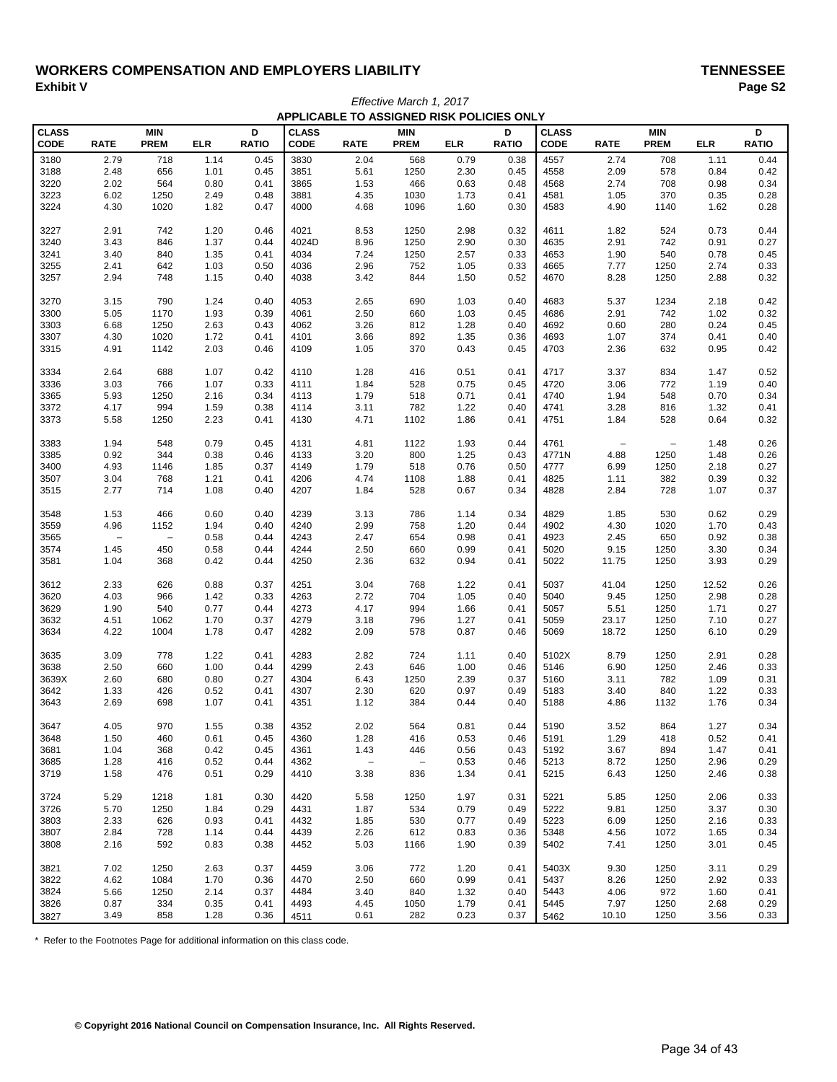## WORKERS COMPENSATION AND EMPLOYERS LIABILITY<br>Exhibit V Paqe S2 **Exhibit V Page S2** *Effective March 1, 2017*

| APPLICABLE TO ASSIGNED RISK POLICIES ONLY |                          |                          |            |              |              |                          |                   |              |              |              |                          |                          |            |              |
|-------------------------------------------|--------------------------|--------------------------|------------|--------------|--------------|--------------------------|-------------------|--------------|--------------|--------------|--------------------------|--------------------------|------------|--------------|
| <b>CLASS</b>                              |                          | <b>MIN</b>               |            | D            | <b>CLASS</b> |                          | <b>MIN</b>        |              | D            | <b>CLASS</b> |                          | <b>MIN</b>               |            | D            |
| CODE                                      | <b>RATE</b>              | <b>PREM</b>              | <b>ELR</b> | <b>RATIO</b> | <b>CODE</b>  | <b>RATE</b>              | <b>PREM</b>       | <b>ELR</b>   | <b>RATIO</b> | <b>CODE</b>  | <b>RATE</b>              | <b>PREM</b>              | <b>ELR</b> | <b>RATIO</b> |
| 3180                                      | 2.79                     | 718                      | 1.14       | 0.45         | 3830         | 2.04                     | 568               | 0.79         | 0.38         | 4557         | 2.74                     | 708                      | 1.11       | 0.44         |
| 3188                                      | 2.48                     | 656                      | 1.01       | 0.45         | 3851         | 5.61                     | 1250              | 2.30         | 0.45         | 4558         | 2.09                     | 578                      | 0.84       | 0.42         |
| 3220                                      | 2.02                     | 564                      | 0.80       | 0.41         | 3865         | 1.53                     | 466               | 0.63         | 0.48         | 4568         | 2.74                     | 708                      | 0.98       | 0.34         |
| 3223                                      | 6.02                     | 1250                     | 2.49       | 0.48         | 3881         | 4.35                     | 1030              | 1.73         | 0.41         | 4581         | 1.05                     | 370                      | 0.35       | 0.28         |
| 3224                                      | 4.30                     | 1020                     | 1.82       | 0.47         | 4000         | 4.68                     | 1096              | 1.60         | 0.30         | 4583         | 4.90                     | 1140                     | 1.62       | 0.28         |
| 3227                                      | 2.91                     | 742                      | 1.20       | 0.46         | 4021         | 8.53                     | 1250              | 2.98         | 0.32         | 4611         | 1.82                     | 524                      | 0.73       | 0.44         |
| 3240                                      | 3.43                     | 846                      | 1.37       | 0.44         | 4024D        | 8.96                     | 1250              | 2.90         | 0.30         | 4635         | 2.91                     | 742                      | 0.91       | 0.27         |
| 3241                                      | 3.40                     | 840                      | 1.35       | 0.41         | 4034         | 7.24                     | 1250              | 2.57         | 0.33         | 4653         | 1.90                     | 540                      | 0.78       | 0.45         |
| 3255                                      | 2.41                     | 642                      | 1.03       | 0.50         | 4036         | 2.96                     | 752               | 1.05         | 0.33         | 4665         | 7.77                     | 1250                     | 2.74       | 0.33         |
| 3257                                      | 2.94                     | 748                      | 1.15       | 0.40         | 4038         | 3.42                     | 844               | 1.50         | 0.52         | 4670         | 8.28                     | 1250                     | 2.88       | 0.32         |
|                                           |                          |                          |            |              |              |                          |                   |              |              |              |                          |                          |            |              |
| 3270                                      | 3.15                     | 790                      | 1.24       | 0.40         | 4053         | 2.65<br>2.50             | 690               | 1.03<br>1.03 | 0.40         | 4683<br>4686 | 5.37                     | 1234<br>742              | 2.18       | 0.42         |
| 3300<br>3303                              | 5.05                     | 1170                     | 1.93       | 0.39         | 4061         |                          | 660               | 1.28         | 0.45         | 4692         | 2.91                     | 280                      | 1.02       | 0.32         |
|                                           | 6.68                     | 1250                     | 2.63       | 0.43         | 4062         | 3.26                     | 812               |              | 0.40         |              | 0.60                     | 374                      | 0.24       | 0.45         |
| 3307                                      | 4.30                     | 1020                     | 1.72       | 0.41<br>0.46 | 4101<br>4109 | 3.66                     | 892               | 1.35         | 0.36         | 4693         | 1.07                     | 632                      | 0.41       | 0.40<br>0.42 |
| 3315                                      | 4.91                     | 1142                     | 2.03       |              |              | 1.05                     | 370               | 0.43         | 0.45         | 4703         | 2.36                     |                          | 0.95       |              |
| 3334                                      | 2.64                     | 688                      | 1.07       | 0.42         | 4110         | 1.28                     | 416               | 0.51         | 0.41         | 4717         | 3.37                     | 834                      | 1.47       | 0.52         |
| 3336                                      | 3.03                     | 766                      | 1.07       | 0.33         | 4111         | 1.84                     | 528               | 0.75         | 0.45         | 4720         | 3.06                     | 772                      | 1.19       | 0.40         |
| 3365                                      | 5.93                     | 1250                     | 2.16       | 0.34         | 4113         | 1.79                     | 518               | 0.71         | 0.41         | 4740         | 1.94                     | 548                      | 0.70       | 0.34         |
| 3372                                      | 4.17                     | 994                      | 1.59       | 0.38         | 4114         | 3.11                     | 782               | 1.22         | 0.40         | 4741         | 3.28                     | 816                      | 1.32       | 0.41         |
| 3373                                      | 5.58                     | 1250                     | 2.23       | 0.41         | 4130         | 4.71                     | 1102              | 1.86         | 0.41         | 4751         | 1.84                     | 528                      | 0.64       | 0.32         |
| 3383                                      | 1.94                     | 548                      | 0.79       | 0.45         | 4131         | 4.81                     | 1122              | 1.93         | 0.44         | 4761         | $\overline{\phantom{a}}$ | $\overline{\phantom{a}}$ | 1.48       | 0.26         |
| 3385                                      | 0.92                     | 344                      | 0.38       | 0.46         | 4133         | 3.20                     | 800               | 1.25         | 0.43         | 4771N        | 4.88                     | 1250                     | 1.48       | 0.26         |
| 3400                                      | 4.93                     | 1146                     | 1.85       | 0.37         | 4149         | 1.79                     | 518               | 0.76         | 0.50         | 4777         | 6.99                     | 1250                     | 2.18       | 0.27         |
| 3507                                      | 3.04                     | 768                      | 1.21       | 0.41         | 4206         | 4.74                     | 1108              | 1.88         | 0.41         | 4825         | 1.11                     | 382                      | 0.39       | 0.32         |
| 3515                                      | 2.77                     | 714                      | 1.08       | 0.40         | 4207         | 1.84                     | 528               | 0.67         | 0.34         | 4828         | 2.84                     | 728                      | 1.07       | 0.37         |
| 3548                                      | 1.53                     | 466                      | 0.60       | 0.40         | 4239         | 3.13                     | 786               | 1.14         | 0.34         | 4829         | 1.85                     | 530                      | 0.62       | 0.29         |
| 3559                                      | 4.96                     | 1152                     | 1.94       | 0.40         | 4240         | 2.99                     | 758               | 1.20         | 0.44         | 4902         | 4.30                     | 1020                     | 1.70       | 0.43         |
| 3565                                      | $\overline{\phantom{a}}$ | $\overline{\phantom{a}}$ | 0.58       | 0.44         | 4243         | 2.47                     | 654               | 0.98         | 0.41         | 4923         | 2.45                     | 650                      | 0.92       | 0.38         |
| 3574                                      | 1.45                     | 450                      | 0.58       | 0.44         | 4244         | 2.50                     | 660               | 0.99         | 0.41         | 5020         | 9.15                     | 1250                     | 3.30       | 0.34         |
| 3581                                      | 1.04                     | 368                      | 0.42       | 0.44         | 4250         | 2.36                     | 632               | 0.94         | 0.41         | 5022         | 11.75                    | 1250                     | 3.93       | 0.29         |
| 3612                                      | 2.33                     | 626                      | 0.88       | 0.37         | 4251         | 3.04                     | 768               | 1.22         | 0.41         | 5037         | 41.04                    | 1250                     | 12.52      | 0.26         |
| 3620                                      | 4.03                     | 966                      | 1.42       | 0.33         | 4263         | 2.72                     | 704               | 1.05         | 0.40         | 5040         | 9.45                     | 1250                     | 2.98       | 0.28         |
| 3629                                      | 1.90                     | 540                      | 0.77       | 0.44         | 4273         | 4.17                     | 994               | 1.66         | 0.41         | 5057         | 5.51                     | 1250                     | 1.71       | 0.27         |
| 3632                                      | 4.51                     | 1062                     | 1.70       | 0.37         | 4279         | 3.18                     | 796               | 1.27         | 0.41         | 5059         | 23.17                    | 1250                     | 7.10       | 0.27         |
| 3634                                      | 4.22                     | 1004                     | 1.78       | 0.47         | 4282         | 2.09                     | 578               | 0.87         | 0.46         | 5069         | 18.72                    | 1250                     | 6.10       | 0.29         |
| 3635                                      | 3.09                     | 778                      | 1.22       | 0.41         | 4283         | 2.82                     | 724               | 1.11         | 0.40         | 5102X        | 8.79                     | 1250                     | 2.91       | 0.28         |
| 3638                                      | 2.50                     | 660                      | 1.00       | 0.44         | 4299         | 2.43                     | 646               | 1.00         | 0.46         | 5146         | 6.90                     | 1250                     | 2.46       | 0.33         |
| 3639X                                     | 2.60                     | 680                      | 0.80       | 0.27         | 4304         | 6.43                     | 1250              | 2.39         | 0.37         | 5160         | 3.11                     | 782                      | 1.09       | 0.31         |
| 3642                                      | 1.33                     | 426                      | 0.52       | 0.41         | 4307         | 2.30                     | 620               | 0.97         | 0.49         | 5183         | 3.40                     | 840                      | 1.22       | 0.33         |
| 3643                                      | 2.69                     | 698                      | 1.07       | 0.41         | 4351         | 1.12                     | 384               | 0.44         | 0.40         | 5188         | 4.86                     | 1132                     | 1.76       | 0.34         |
|                                           |                          |                          |            | 0.38         |              |                          |                   |              | 0.44         |              |                          |                          |            |              |
| 3647                                      | 4.05                     | 970                      | 1.55       |              | 4352         | 2.02                     | 564               | 0.81         |              | 5190         | 3.52                     | 864                      | 1.27       | 0.34         |
| 3648                                      | 1.50                     | 460                      | 0.61       | 0.45         | 4360         | 1.28                     | 416               | 0.53         | 0.46         | 5191         | 1.29                     | 418                      | 0.52       | 0.41         |
| 3681                                      | 1.04                     | 368                      | 0.42       | 0.45         | 4361         | 1.43                     | 446               | 0.56         | 0.43         | 5192         | 3.67                     | 894                      | 1.47       | 0.41         |
| 3685                                      | 1.28                     | 416                      | 0.52       | 0.44         | 4362         | $\overline{\phantom{a}}$ | $\qquad \qquad -$ | 0.53         | 0.46         | 5213         | 8.72                     | 1250                     | 2.96       | 0.29         |
| 3719                                      | 1.58                     | 476                      | 0.51       | 0.29         | 4410         | 3.38                     | 836               | 1.34         | 0.41         | 5215         | 6.43                     | 1250                     | 2.46       | 0.38         |
| 3724                                      | 5.29                     | 1218                     | 1.81       | 0.30         | 4420         | 5.58                     | 1250              | 1.97         | 0.31         | 5221         | 5.85                     | 1250                     | 2.06       | 0.33         |
| 3726                                      | 5.70                     | 1250                     | 1.84       | 0.29         | 4431         | 1.87                     | 534               | 0.79         | 0.49         | 5222         | 9.81                     | 1250                     | 3.37       | 0.30         |
| 3803                                      | 2.33                     | 626                      | 0.93       | 0.41         | 4432         | 1.85                     | 530               | 0.77         | 0.49         | 5223         | 6.09                     | 1250                     | 2.16       | 0.33         |
| 3807                                      | 2.84                     | 728                      | 1.14       | 0.44         | 4439         | 2.26                     | 612               | 0.83         | 0.36         | 5348         | 4.56                     | 1072                     | 1.65       | 0.34         |
| 3808                                      | 2.16                     | 592                      | 0.83       | 0.38         | 4452         | 5.03                     | 1166              | 1.90         | 0.39         | 5402         | 7.41                     | 1250                     | 3.01       | 0.45         |
| 3821                                      | 7.02                     | 1250                     | 2.63       | 0.37         | 4459         | 3.06                     | 772               | 1.20         | 0.41         | 5403X        | 9.30                     | 1250                     | 3.11       | 0.29         |
| 3822                                      | 4.62                     | 1084                     | 1.70       | 0.36         | 4470         | 2.50                     | 660               | 0.99         | 0.41         | 5437         | 8.26                     | 1250                     | 2.92       | 0.33         |
| 3824                                      | 5.66                     | 1250                     | 2.14       | 0.37         | 4484         | 3.40                     | 840               | 1.32         | 0.40         | 5443         | 4.06                     | 972                      | 1.60       | 0.41         |
| 3826                                      | 0.87                     | 334                      | 0.35       | 0.41         | 4493         | 4.45                     | 1050              | 1.79         | 0.41         | 5445         | 7.97                     | 1250                     | 2.68       | 0.29         |
| 3827                                      | 3.49                     | 858                      | 1.28       | 0.36         | 4511         | 0.61                     | 282               | 0.23         | 0.37         | 5462         | 10.10                    | 1250                     | 3.56       | 0.33         |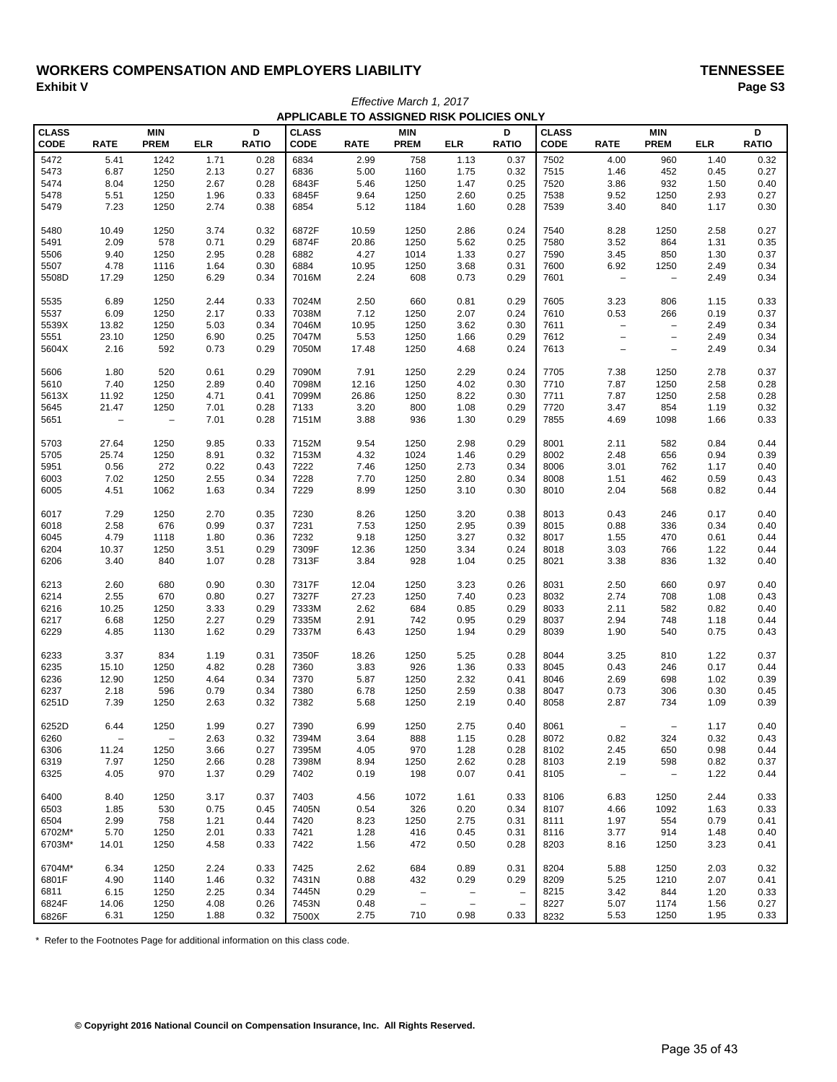## WORKERS COMPENSATION AND EMPLOYERS LIABILITY<br>Exhibit V Paqe S3 **Exhibit V Page S3** *Effective March 1, 2017*

| APPLICABLE TO ASSIGNED RISK POLICIES ONLY |                            |                           |              |                   |                      |               |                           |                          |                   |                             |                                  |                                 |              |                   |
|-------------------------------------------|----------------------------|---------------------------|--------------|-------------------|----------------------|---------------|---------------------------|--------------------------|-------------------|-----------------------------|----------------------------------|---------------------------------|--------------|-------------------|
| <b>CLASS</b><br><b>CODE</b>               | <b>RATE</b>                | <b>MIN</b><br><b>PREM</b> | <b>ELR</b>   | D<br><b>RATIO</b> | <b>CLASS</b><br>CODE | <b>RATE</b>   | <b>MIN</b><br><b>PREM</b> | <b>ELR</b>               | D<br><b>RATIO</b> | <b>CLASS</b><br><b>CODE</b> | <b>RATE</b>                      | <b>MIN</b><br><b>PREM</b>       | <b>ELR</b>   | D<br><b>RATIO</b> |
| 5472                                      | 5.41                       | 1242                      | 1.71         | 0.28              | 6834                 | 2.99          | 758                       | 1.13                     | 0.37              | 7502                        | 4.00                             | 960                             | 1.40         | 0.32              |
| 5473                                      | 6.87                       | 1250                      | 2.13         | 0.27              | 6836                 | 5.00          | 1160                      | 1.75                     | 0.32              | 7515                        | 1.46                             | 452                             | 0.45         | 0.27              |
| 5474                                      | 8.04                       | 1250                      | 2.67         | 0.28              | 6843F                | 5.46          | 1250                      | 1.47                     | 0.25              | 7520                        | 3.86                             | 932                             | 1.50         | 0.40              |
| 5478                                      | 5.51                       | 1250                      | 1.96         | 0.33              | 6845F                | 9.64          | 1250                      | 2.60                     | 0.25              | 7538                        | 9.52                             | 1250                            | 2.93         | 0.27              |
| 5479                                      | 7.23                       | 1250                      | 2.74         | 0.38              | 6854                 | 5.12          | 1184                      | 1.60                     | 0.28              | 7539                        | 3.40                             | 840                             | 1.17         | 0.30              |
| 5480                                      | 10.49                      | 1250                      | 3.74         | 0.32              | 6872F                | 10.59         | 1250                      | 2.86                     | 0.24              | 7540                        | 8.28                             | 1250                            | 2.58         | 0.27              |
| 5491                                      | 2.09                       | 578                       | 0.71         | 0.29              | 6874F                | 20.86         | 1250                      | 5.62                     | 0.25              | 7580                        | 3.52                             | 864                             | 1.31         | 0.35              |
| 5506                                      | 9.40                       | 1250                      | 2.95         | 0.28              | 6882                 | 4.27          | 1014                      | 1.33                     | 0.27              | 7590                        | 3.45                             | 850                             | 1.30         | 0.37              |
| 5507                                      | 4.78                       | 1116                      | 1.64         | 0.30              | 6884                 | 10.95         | 1250                      | 3.68                     | 0.31              | 7600                        | 6.92                             | 1250                            | 2.49         | 0.34              |
| 5508D                                     | 17.29                      | 1250                      | 6.29         | 0.34              | 7016M                | 2.24          | 608                       | 0.73                     | 0.29              | 7601                        | $\qquad \qquad -$                | $\overline{\phantom{m}}$        | 2.49         | 0.34              |
| 5535                                      | 6.89                       | 1250                      | 2.44         | 0.33              | 7024M                | 2.50          | 660                       | 0.81                     | 0.29              | 7605                        | 3.23                             | 806                             | 1.15         | 0.33              |
| 5537                                      | 6.09                       | 1250                      | 2.17         | 0.33              | 7038M                | 7.12          | 1250                      | 2.07                     | 0.24              | 7610                        | 0.53                             | 266                             | 0.19         | 0.37              |
| 5539X                                     | 13.82                      | 1250                      | 5.03         | 0.34              | 7046M                | 10.95         | 1250                      | 3.62                     | 0.30              | 7611                        | $\qquad \qquad -$                | $\overline{\phantom{a}}$        | 2.49         | 0.34              |
| 5551                                      | 23.10                      | 1250                      | 6.90         | 0.25              | 7047M                | 5.53          | 1250                      | 1.66                     | 0.29              | 7612                        | $\qquad \qquad -$                | $\overline{\phantom{a}}$        | 2.49         | 0.34              |
| 5604X                                     | 2.16                       | 592                       | 0.73         | 0.29              | 7050M                | 17.48         | 1250                      | 4.68                     | 0.24              | 7613                        | -                                | $\qquad \qquad -$               | 2.49         | 0.34              |
| 5606                                      | 1.80                       | 520                       | 0.61         | 0.29              | 7090M                | 7.91          | 1250                      | 2.29                     | 0.24              | 7705                        | 7.38                             | 1250                            | 2.78         | 0.37              |
| 5610                                      | 7.40                       | 1250                      | 2.89         | 0.40              | 7098M                | 12.16         | 1250                      | 4.02                     | 0.30              | 7710                        | 7.87                             | 1250                            | 2.58         | 0.28              |
| 5613X                                     | 11.92                      | 1250                      | 4.71         | 0.41              | 7099M                | 26.86         | 1250                      | 8.22                     | 0.30              | 7711                        | 7.87                             | 1250                            | 2.58         | 0.28              |
| 5645<br>5651                              | 21.47<br>$\qquad \qquad -$ | 1250<br>$\qquad \qquad -$ | 7.01<br>7.01 | 0.28<br>0.28      | 7133<br>7151M        | 3.20<br>3.88  | 800<br>936                | 1.08<br>1.30             | 0.29<br>0.29      | 7720<br>7855                | 3.47<br>4.69                     | 854<br>1098                     | 1.19<br>1.66 | 0.32<br>0.33      |
|                                           |                            |                           |              |                   |                      |               |                           |                          |                   |                             |                                  |                                 |              |                   |
| 5703                                      | 27.64                      | 1250                      | 9.85         | 0.33              | 7152M                | 9.54          | 1250                      | 2.98                     | 0.29              | 8001                        | 2.11                             | 582                             | 0.84         | 0.44              |
| 5705                                      | 25.74                      | 1250                      | 8.91         | 0.32              | 7153M                | 4.32          | 1024                      | 1.46                     | 0.29              | 8002                        | 2.48                             | 656                             | 0.94         | 0.39              |
| 5951                                      | 0.56                       | 272                       | 0.22         | 0.43              | 7222                 | 7.46          | 1250                      | 2.73                     | 0.34              | 8006                        | 3.01                             | 762                             | 1.17         | 0.40              |
| 6003                                      | 7.02                       | 1250                      | 2.55         | 0.34              | 7228                 | 7.70          | 1250                      | 2.80                     | 0.34              | 8008                        | 1.51                             | 462                             | 0.59         | 0.43              |
| 6005                                      | 4.51                       | 1062                      | 1.63         | 0.34              | 7229                 | 8.99          | 1250                      | 3.10                     | 0.30              | 8010                        | 2.04                             | 568                             | 0.82         | 0.44              |
| 6017                                      | 7.29                       | 1250                      | 2.70         | 0.35              | 7230                 | 8.26          | 1250                      | 3.20                     | 0.38              | 8013                        | 0.43                             | 246                             | 0.17         | 0.40              |
| 6018                                      | 2.58                       | 676                       | 0.99         | 0.37              | 7231                 | 7.53          | 1250                      | 2.95                     | 0.39              | 8015                        | 0.88                             | 336                             | 0.34         | 0.40              |
| 6045                                      | 4.79                       | 1118                      | 1.80         | 0.36              | 7232                 | 9.18          | 1250                      | 3.27                     | 0.32              | 8017                        | 1.55                             | 470                             | 0.61         | 0.44              |
| 6204<br>6206                              | 10.37<br>3.40              | 1250<br>840               | 3.51<br>1.07 | 0.29<br>0.28      | 7309F<br>7313F       | 12.36<br>3.84 | 1250<br>928               | 3.34<br>1.04             | 0.24<br>0.25      | 8018<br>8021                | 3.03<br>3.38                     | 766<br>836                      | 1.22<br>1.32 | 0.44<br>0.40      |
|                                           |                            |                           |              |                   |                      |               |                           |                          |                   |                             |                                  |                                 |              |                   |
| 6213                                      | 2.60                       | 680                       | 0.90         | 0.30              | 7317F                | 12.04         | 1250                      | 3.23                     | 0.26              | 8031                        | 2.50                             | 660                             | 0.97         | 0.40              |
| 6214                                      | 2.55                       | 670                       | 0.80         | 0.27              | 7327F                | 27.23         | 1250                      | 7.40                     | 0.23              | 8032                        | 2.74                             | 708                             | 1.08         | 0.43              |
| 6216                                      | 10.25                      | 1250                      | 3.33         | 0.29              | 7333M                | 2.62          | 684                       | 0.85                     | 0.29              | 8033                        | 2.11                             | 582                             | 0.82         | 0.40              |
| 6217<br>6229                              | 6.68<br>4.85               | 1250<br>1130              | 2.27<br>1.62 | 0.29<br>0.29      | 7335M<br>7337M       | 2.91<br>6.43  | 742<br>1250               | 0.95<br>1.94             | 0.29<br>0.29      | 8037<br>8039                | 2.94<br>1.90                     | 748<br>540                      | 1.18<br>0.75 | 0.44<br>0.43      |
|                                           |                            |                           |              |                   |                      |               |                           |                          |                   |                             |                                  |                                 |              |                   |
| 6233                                      | 3.37                       | 834                       | 1.19         | 0.31              | 7350F                | 18.26         | 1250                      | 5.25                     | 0.28              | 8044                        | 3.25                             | 810                             | 1.22         | 0.37              |
| 6235                                      | 15.10                      | 1250                      | 4.82         | 0.28              | 7360                 | 3.83          | 926                       | 1.36                     | 0.33              | 8045                        | 0.43                             | 246                             | 0.17         | 0.44              |
| 6236                                      | 12.90                      | 1250<br>596               | 4.64         | 0.34              | 7370<br>7380         | 5.87<br>6.78  | 1250                      | 2.32<br>2.59             | 0.41              | 8046<br>8047                | 2.69                             | 698<br>306                      | 1.02         | 0.39              |
| 6237<br>6251D                             | 2.18<br>7.39               | 1250                      | 0.79<br>2.63 | 0.34<br>0.32      | 7382                 | 5.68          | 1250<br>1250              | 2.19                     | 0.38<br>0.40      | 8058                        | 0.73<br>2.87                     | 734                             | 0.30<br>1.09 | 0.45<br>0.39      |
|                                           |                            |                           |              |                   |                      |               |                           |                          |                   |                             |                                  |                                 |              |                   |
| 6252D                                     | 6.44                       | 1250                      | 1.99         | 0.27              | 7390                 | 6.99          | 1250                      | 2.75                     | 0.40              | 8061                        |                                  | $\overline{\phantom{0}}$        | 1.17         | 0.40              |
| 6260                                      | $\qquad \qquad -$          | $\qquad \qquad -$         | 2.63         | 0.32              | 7394M                | 3.64          | 888                       | 1.15                     | 0.28              | 8072                        | 0.82                             | 324                             | 0.32         | 0.43              |
| 6306                                      | 11.24                      | 1250                      | 3.66         | 0.27              | 7395M                | 4.05          | 970                       | 1.28                     | 0.28              | 8102                        | 2.45                             | 650                             | 0.98         | 0.44              |
| 6319<br>6325                              | 7.97<br>4.05               | 1250<br>970               | 2.66         | 0.28<br>0.29      | 7398M<br>7402        | 8.94<br>0.19  | 1250                      | 2.62<br>0.07             | 0.28<br>0.41      | 8103<br>8105                | 2.19<br>$\overline{\phantom{m}}$ | 598<br>$\overline{\phantom{a}}$ | 0.82<br>1.22 | 0.37<br>0.44      |
|                                           |                            |                           | 1.37         |                   |                      |               | 198                       |                          |                   |                             |                                  |                                 |              |                   |
| 6400                                      | 8.40                       | 1250                      | 3.17         | 0.37              | 7403                 | 4.56          | 1072                      | 1.61                     | 0.33              | 8106                        | 6.83                             | 1250                            | 2.44         | 0.33              |
| 6503                                      | 1.85                       | 530                       | 0.75         | 0.45              | 7405N                | 0.54          | 326                       | 0.20                     | 0.34              | 8107                        | 4.66                             | 1092                            | 1.63         | 0.33              |
| 6504                                      | 2.99                       | 758                       | 1.21         | 0.44              | 7420                 | 8.23          | 1250                      | 2.75                     | 0.31              | 8111                        | 1.97                             | 554                             | 0.79         | 0.41              |
| 6702M*                                    | 5.70                       | 1250                      | 2.01         | 0.33              | 7421                 | 1.28          | 416                       | 0.45                     | 0.31              | 8116                        | 3.77                             | 914                             | 1.48         | 0.40              |
| 6703M*                                    | 14.01                      | 1250                      | 4.58         | 0.33              | 7422                 | 1.56          | 472                       | 0.50                     | 0.28              | 8203                        | 8.16                             | 1250                            | 3.23         | 0.41              |
| 6704M*                                    | 6.34                       | 1250                      | 2.24         | 0.33              | 7425                 | 2.62          | 684                       | 0.89                     | 0.31              | 8204                        | 5.88                             | 1250                            | 2.03         | 0.32              |
| 6801F                                     | 4.90                       | 1140                      | 1.46         | 0.32              | 7431N                | 0.88          | 432                       | 0.29                     | 0.29              | 8209                        | 5.25                             | 1210                            | 2.07         | 0.41              |
| 6811                                      | 6.15                       | 1250                      | 2.25         | 0.34              | 7445N                | 0.29          | $\qquad \qquad -$         | $\overline{\phantom{a}}$ | $\overline{a}$    | 8215                        | 3.42                             | 844                             | 1.20         | 0.33              |
| 6824F                                     | 14.06                      | 1250                      | 4.08         | 0.26              | 7453N                | 0.48          | $\overline{\phantom{a}}$  | $\overline{\phantom{a}}$ | $\qquad \qquad -$ | 8227                        | 5.07                             | 1174                            | 1.56         | 0.27              |
| 6826F                                     | 6.31                       | 1250                      | 1.88         | 0.32              | 7500X                | 2.75          | 710                       | 0.98                     | 0.33              | 8232                        | 5.53                             | 1250                            | 1.95         | 0.33              |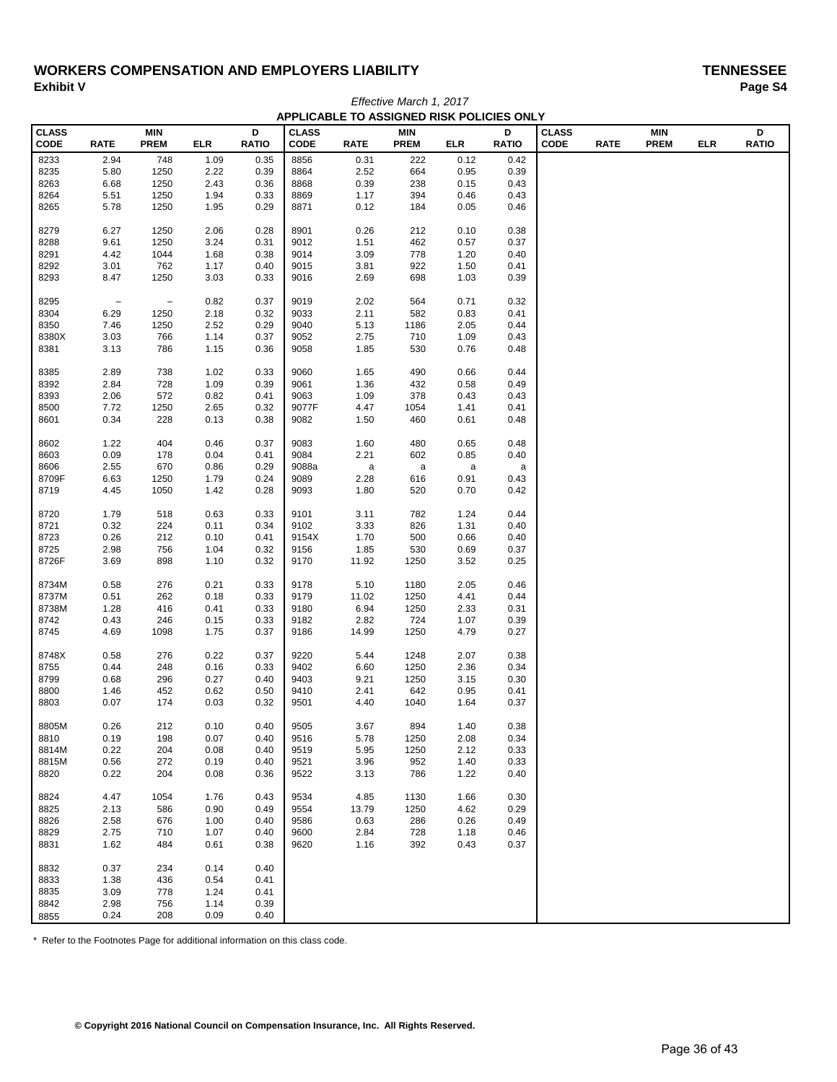## WORKERS COMPENSATION AND EMPLOYERS LIABILITY<br>Exhibit V Paqe S4 **Exhibit V Page S4** *Effective March 1, 2017*

| APPLICABLE TO ASSIGNED RISK POLICIES ONLY |                          |                          |              |              |              |               |              |              |              |              |             |             |            |              |
|-------------------------------------------|--------------------------|--------------------------|--------------|--------------|--------------|---------------|--------------|--------------|--------------|--------------|-------------|-------------|------------|--------------|
| <b>CLASS</b>                              |                          | <b>MIN</b>               |              | D            | <b>CLASS</b> |               | <b>MIN</b>   |              | D            | <b>CLASS</b> |             | <b>MIN</b>  |            | D            |
| <b>CODE</b>                               | <b>RATE</b>              | <b>PREM</b>              | <b>ELR</b>   | <b>RATIO</b> | <b>CODE</b>  | <b>RATE</b>   | <b>PREM</b>  | <b>ELR</b>   | <b>RATIO</b> | <b>CODE</b>  | <b>RATE</b> | <b>PREM</b> | <b>ELR</b> | <b>RATIO</b> |
| 8233                                      | 2.94                     | 748                      | 1.09         | 0.35         | 8856         | 0.31          | 222          | 0.12         | 0.42         |              |             |             |            |              |
| 8235                                      | 5.80                     | 1250                     | 2.22         | 0.39         | 8864         | 2.52          | 664          | 0.95         | 0.39         |              |             |             |            |              |
| 8263                                      | 6.68                     | 1250                     | 2.43         | 0.36         | 8868         | 0.39          | 238          | 0.15         | 0.43         |              |             |             |            |              |
| 8264<br>8265                              | 5.51<br>5.78             | 1250<br>1250             | 1.94<br>1.95 | 0.33<br>0.29 | 8869<br>8871 | 1.17<br>0.12  | 394<br>184   | 0.46<br>0.05 | 0.43<br>0.46 |              |             |             |            |              |
|                                           |                          |                          |              |              |              |               |              |              |              |              |             |             |            |              |
| 8279                                      | 6.27                     | 1250                     | 2.06         | 0.28         | 8901         | 0.26          | 212          | 0.10         | 0.38         |              |             |             |            |              |
| 8288                                      | 9.61                     | 1250                     | 3.24         | 0.31         | 9012         | 1.51          | 462          | 0.57         | 0.37         |              |             |             |            |              |
| 8291                                      | 4.42                     | 1044                     | 1.68         | 0.38         | 9014         | 3.09          | 778          | 1.20         | 0.40         |              |             |             |            |              |
| 8292                                      | 3.01                     | 762                      | 1.17         | 0.40         | 9015         | 3.81          | 922          | 1.50         | 0.41         |              |             |             |            |              |
| 8293                                      | 8.47                     | 1250                     | 3.03         | 0.33         | 9016         | 2.69          | 698          | 1.03         | 0.39         |              |             |             |            |              |
|                                           |                          |                          |              |              |              |               |              |              |              |              |             |             |            |              |
| 8295                                      | $\overline{\phantom{a}}$ | $\overline{\phantom{a}}$ | 0.82         | 0.37         | 9019         | 2.02          | 564          | 0.71         | 0.32         |              |             |             |            |              |
| 8304<br>8350                              | 6.29<br>7.46             | 1250<br>1250             | 2.18<br>2.52 | 0.32<br>0.29 | 9033<br>9040 | 2.11<br>5.13  | 582<br>1186  | 0.83<br>2.05 | 0.41<br>0.44 |              |             |             |            |              |
| 8380X                                     | 3.03                     | 766                      | 1.14         | 0.37         | 9052         | 2.75          | 710          | 1.09         | 0.43         |              |             |             |            |              |
| 8381                                      | 3.13                     | 786                      | 1.15         | 0.36         | 9058         | 1.85          | 530          | 0.76         | 0.48         |              |             |             |            |              |
|                                           |                          |                          |              |              |              |               |              |              |              |              |             |             |            |              |
| 8385                                      | 2.89                     | 738                      | 1.02         | 0.33         | 9060         | 1.65          | 490          | 0.66         | 0.44         |              |             |             |            |              |
| 8392                                      | 2.84                     | 728                      | 1.09         | 0.39         | 9061         | 1.36          | 432          | 0.58         | 0.49         |              |             |             |            |              |
| 8393                                      | 2.06                     | 572                      | 0.82         | 0.41         | 9063         | 1.09          | 378          | 0.43         | 0.43         |              |             |             |            |              |
| 8500                                      | 7.72                     | 1250                     | 2.65         | 0.32         | 9077F        | 4.47          | 1054         | 1.41         | 0.41         |              |             |             |            |              |
| 8601                                      | 0.34                     | 228                      | 0.13         | 0.38         | 9082         | 1.50          | 460          | 0.61         | 0.48         |              |             |             |            |              |
| 8602                                      | 1.22                     | 404                      | 0.46         | 0.37         | 9083         | 1.60          | 480          | 0.65         | 0.48         |              |             |             |            |              |
| 8603                                      | 0.09                     | 178                      | 0.04         | 0.41         | 9084         | 2.21          | 602          | 0.85         | 0.40         |              |             |             |            |              |
| 8606                                      | 2.55                     | 670                      | 0.86         | 0.29         | 9088a        | $\mathsf a$   | $\mathsf{a}$ | a            | $\mathsf{a}$ |              |             |             |            |              |
| 8709F                                     | 6.63                     | 1250                     | 1.79         | 0.24         | 9089         | 2.28          | 616          | 0.91         | 0.43         |              |             |             |            |              |
| 8719                                      | 4.45                     | 1050                     | 1.42         | 0.28         | 9093         | 1.80          | 520          | 0.70         | 0.42         |              |             |             |            |              |
|                                           |                          |                          |              |              |              |               |              |              |              |              |             |             |            |              |
| 8720                                      | 1.79                     | 518                      | 0.63         | 0.33         | 9101         | 3.11          | 782          | 1.24         | 0.44         |              |             |             |            |              |
| 8721                                      | 0.32                     | 224                      | 0.11         | 0.34         | 9102         | 3.33          | 826          | 1.31         | 0.40         |              |             |             |            |              |
| 8723                                      | 0.26                     | 212                      | 0.10         | 0.41         | 9154X        | 1.70          | 500          | 0.66         | 0.40         |              |             |             |            |              |
| 8725<br>8726F                             | 2.98<br>3.69             | 756<br>898               | 1.04         | 0.32<br>0.32 | 9156<br>9170 | 1.85<br>11.92 | 530          | 0.69         | 0.37         |              |             |             |            |              |
|                                           |                          |                          | 1.10         |              |              |               | 1250         | 3.52         | 0.25         |              |             |             |            |              |
| 8734M                                     | 0.58                     | 276                      | 0.21         | 0.33         | 9178         | 5.10          | 1180         | 2.05         | 0.46         |              |             |             |            |              |
| 8737M                                     | 0.51                     | 262                      | 0.18         | 0.33         | 9179         | 11.02         | 1250         | 4.41         | 0.44         |              |             |             |            |              |
| 8738M                                     | 1.28                     | 416                      | 0.41         | 0.33         | 9180         | 6.94          | 1250         | 2.33         | 0.31         |              |             |             |            |              |
| 8742                                      | 0.43                     | 246                      | 0.15         | 0.33         | 9182         | 2.82          | 724          | 1.07         | 0.39         |              |             |             |            |              |
| 8745                                      | 4.69                     | 1098                     | 1.75         | 0.37         | 9186         | 14.99         | 1250         | 4.79         | 0.27         |              |             |             |            |              |
|                                           |                          |                          |              |              |              |               |              |              |              |              |             |             |            |              |
| 8748X<br>8755                             | 0.58<br>0.44             | 276<br>248               | 0.22<br>0.16 | 0.37<br>0.33 | 9220<br>9402 | 5.44<br>6.60  | 1248<br>1250 | 2.07<br>2.36 | 0.38<br>0.34 |              |             |             |            |              |
| 8799                                      | 0.68                     | 296                      | 0.27         | 0.40         | 9403         | 9.21          | 1250         | 3.15         | 0.30         |              |             |             |            |              |
| 8800                                      | 1.46                     | 452                      | 0.62         | 0.50         | 9410         | 2.41          | 642          | 0.95         | 0.41         |              |             |             |            |              |
| 8803                                      | 0.07                     | 174                      | 0.03         | 0.32         | 9501         | 4.40          | 1040         | 1.64         | 0.37         |              |             |             |            |              |
|                                           |                          |                          |              |              |              |               |              |              |              |              |             |             |            |              |
| 8805M                                     | 0.26                     | 212                      | 0.10         | 0.40         | 9505         | 3.67          | 894          | 1.40         | 0.38         |              |             |             |            |              |
| 8810                                      | 0.19                     | 198                      | 0.07         | 0.40         | 9516         | 5.78          | 1250         | 2.08         | 0.34         |              |             |             |            |              |
| 8814M                                     | 0.22                     | 204                      | 0.08         | 0.40         | 9519         | 5.95          | 1250         | 2.12         | 0.33         |              |             |             |            |              |
| 8815M<br>8820                             | 0.56<br>0.22             | 272<br>204               | 0.19<br>0.08 | 0.40<br>0.36 | 9521<br>9522 | 3.96<br>3.13  | 952<br>786   | 1.40<br>1.22 | 0.33<br>0.40 |              |             |             |            |              |
|                                           |                          |                          |              |              |              |               |              |              |              |              |             |             |            |              |
| 8824                                      | 4.47                     | 1054                     | 1.76         | 0.43         | 9534         | 4.85          | 1130         | 1.66         | 0.30         |              |             |             |            |              |
| 8825                                      | 2.13                     | 586                      | 0.90         | 0.49         | 9554         | 13.79         | 1250         | 4.62         | 0.29         |              |             |             |            |              |
| 8826                                      | 2.58                     | 676                      | 1.00         | 0.40         | 9586         | 0.63          | 286          | 0.26         | 0.49         |              |             |             |            |              |
| 8829                                      | 2.75                     | 710                      | 1.07         | 0.40         | 9600         | 2.84          | 728          | 1.18         | 0.46         |              |             |             |            |              |
| 8831                                      | 1.62                     | 484                      | 0.61         | 0.38         | 9620         | 1.16          | 392          | 0.43         | 0.37         |              |             |             |            |              |
| 8832                                      | 0.37                     | 234                      | 0.14         | 0.40         |              |               |              |              |              |              |             |             |            |              |
| 8833                                      | 1.38                     | 436                      | 0.54         | 0.41         |              |               |              |              |              |              |             |             |            |              |
| 8835                                      | 3.09                     | 778                      | 1.24         | 0.41         |              |               |              |              |              |              |             |             |            |              |
| 8842                                      | 2.98                     | 756                      | 1.14         | 0.39         |              |               |              |              |              |              |             |             |            |              |
| 8855                                      | 0.24                     | 208                      | 0.09         | 0.40         |              |               |              |              |              |              |             |             |            |              |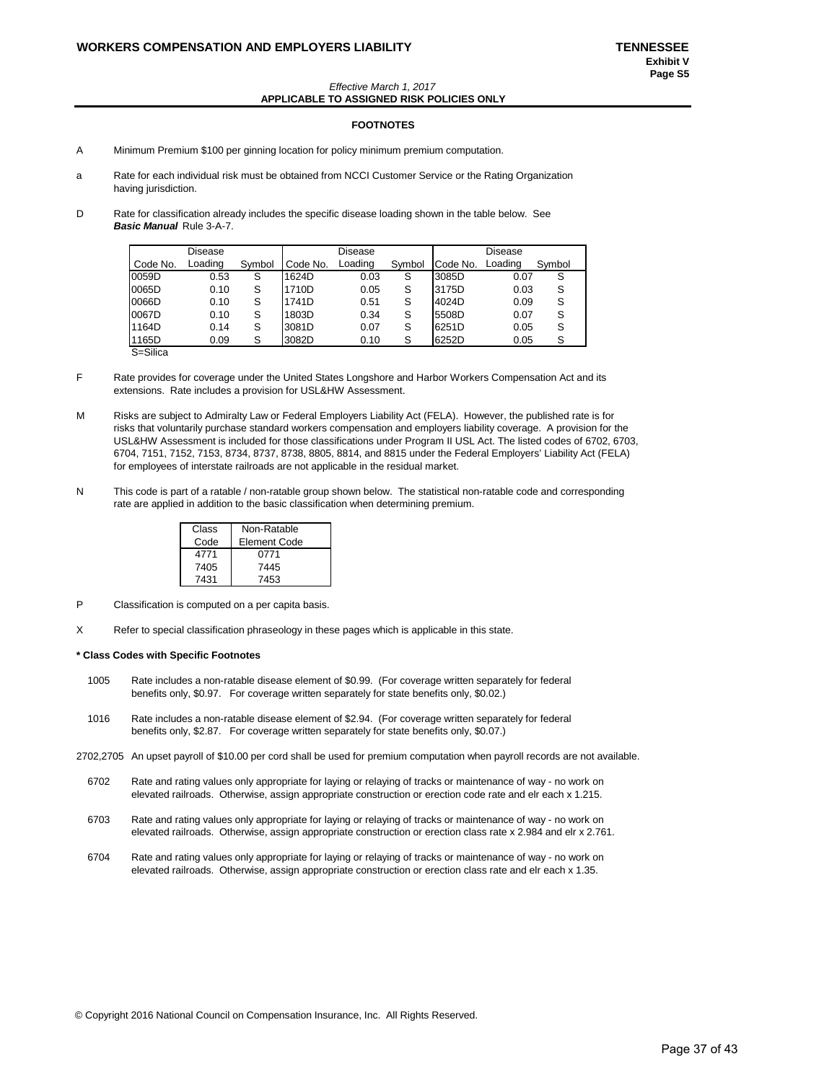### *Effective March 1, 2017* **APPLICABLE TO ASSIGNED RISK POLICIES ONLY**

### **FOOTNOTES**

- A Minimum Premium \$100 per ginning location for policy minimum premium computation.
- a Rate for each individual risk must be obtained from NCCI Customer Service or the Rating Organization having jurisdiction.
- D Rate for classification already includes the specific disease loading shown in the table below. See *Basic Manual* Rule 3-A-7.

|          | Disease |        |          | Disease |        | Disease  |         |        |  |
|----------|---------|--------|----------|---------|--------|----------|---------|--------|--|
| Code No. | Loading | Symbol | Code No. | Loading | Symbol | Code No. | Loading | Symbol |  |
| 0059D    | 0.53    | S      | 1624D    | 0.03    | S      | 3085D    | 0.07    | S      |  |
| 0065D    | 0.10    | S      | 1710D    | 0.05    | S      | 3175D    | 0.03    | S      |  |
| 0066D    | 0.10    | S      | 1741D    | 0.51    | S      | 4024D    | 0.09    | S      |  |
| 0067D    | 0.10    | S      | 1803D    | 0.34    | S      | 5508D    | 0.07    | S      |  |
| 1164D    | 0.14    | S      | 3081D    | 0.07    | S      | 6251D    | 0.05    | S      |  |
| 1165D    | 0.09    | S      | 3082D    | 0.10    | S      | 6252D    | 0.05    | S      |  |
| S=Silica |         |        |          |         |        |          |         |        |  |

- F Rate provides for coverage under the United States Longshore and Harbor Workers Compensation Act and its extensions. Rate includes a provision for USL&HW Assessment.
- M Risks are subject to Admiralty Law or Federal Employers Liability Act (FELA). However, the published rate is for risks that voluntarily purchase standard workers compensation and employers liability coverage. A provision for the USL&HW Assessment is included for those classifications under Program II USL Act. The listed codes of 6702, 6703, 6704, 7151, 7152, 7153, 8734, 8737, 8738, 8805, 8814, and 8815 under the Federal Employers' Liability Act (FELA) for employees of interstate railroads are not applicable in the residual market.
- N This code is part of a ratable / non-ratable group shown below. The statistical non-ratable code and corresponding rate are applied in addition to the basic classification when determining premium.

| Class | Non-Ratable  |
|-------|--------------|
| Code  | Element Code |
| 4771  | 0771         |
| 7405  | 7445         |
| 7431  | 7453         |

- P Classification is computed on a per capita basis.
- X Refer to special classification phraseology in these pages which is applicable in this state.

### **\* Class Codes with Specific Footnotes**

- 1005 Rate includes a non-ratable disease element of \$0.99. (For coverage written separately for federal benefits only, \$0.97. For coverage written separately for state benefits only, \$0.02.)
- 1016 Rate includes a non-ratable disease element of \$2.94. (For coverage written separately for federal benefits only, \$2.87. For coverage written separately for state benefits only, \$0.07.)
- 2702,2705 An upset payroll of \$10.00 per cord shall be used for premium computation when payroll records are not available.
- 6702 Rate and rating values only appropriate for laying or relaying of tracks or maintenance of way no work on elevated railroads. Otherwise, assign appropriate construction or erection code rate and elr each x 1.215.
- 6703 Rate and rating values only appropriate for laying or relaying of tracks or maintenance of way no work on elevated railroads. Otherwise, assign appropriate construction or erection class rate x 2.984 and elr x 2.761.
- 6704 Rate and rating values only appropriate for laying or relaying of tracks or maintenance of way no work on elevated railroads. Otherwise, assign appropriate construction or erection class rate and elr each x 1.35.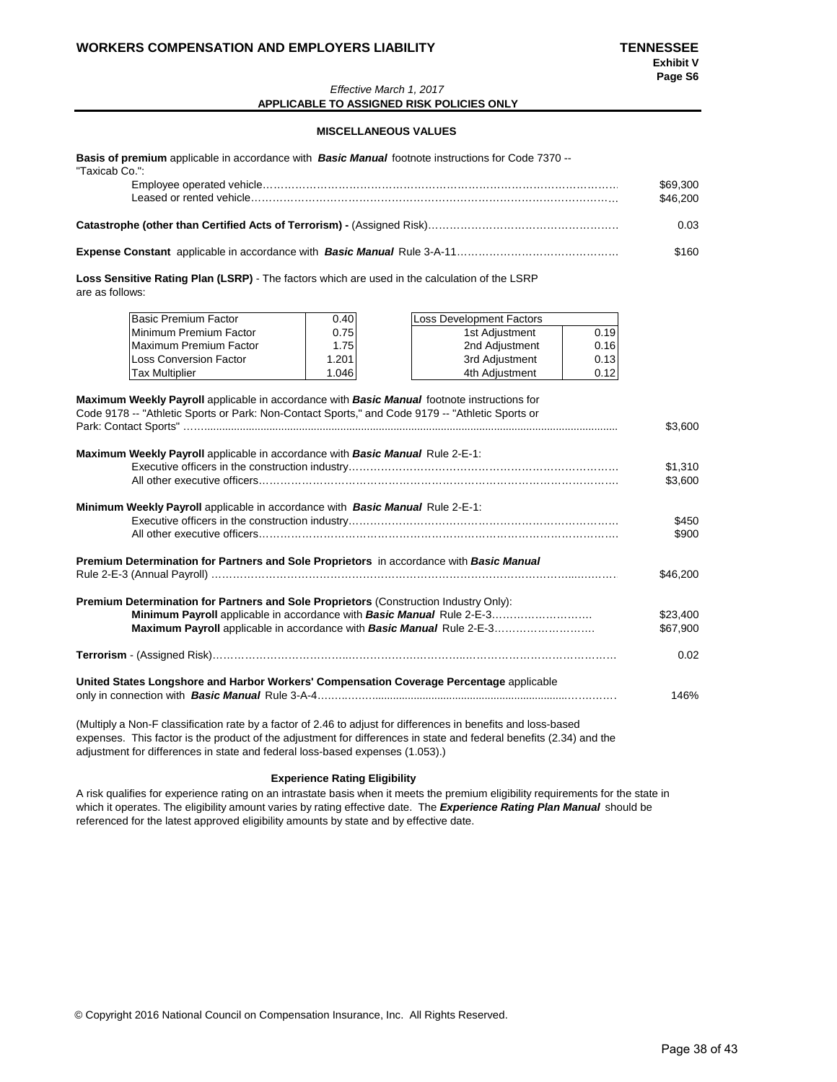### *Effective March 1, 2017* **APPLICABLE TO ASSIGNED RISK POLICIES ONLY**

### **MISCELLANEOUS VALUES**

**Basis of premium** applicable in accordance with *Basic Manual* footnote instructions for Code 7370 --

| "Taxicab Co.": | \$69,300<br>\$46.200 |
|----------------|----------------------|
|                | 0.03                 |
|                | \$160                |

**Loss Sensitive Rating Plan (LSRP)** - The factors which are used in the calculation of the LSRP are as follows:

| <b>IBasic Premium Factor</b>                                                                     | 0.40  | <b>Loss Development Factors</b> |      |                    |
|--------------------------------------------------------------------------------------------------|-------|---------------------------------|------|--------------------|
| IMinimum Premium Factor                                                                          | 0.75  | 1st Adjustment                  | 0.19 |                    |
| Maximum Premium Factor                                                                           | 1.75  | 2nd Adjustment                  | 0.16 |                    |
| <b>Loss Conversion Factor</b>                                                                    | 1.201 | 3rd Adjustment                  | 0.13 |                    |
| <b>Tax Multiplier</b>                                                                            | 1.046 | 4th Adjustment                  | 0.12 |                    |
| Code 9178 -- "Athletic Sports or Park: Non-Contact Sports," and Code 9179 -- "Athletic Sports or |       |                                 |      | \$3.600            |
| Maximum Weekly Payroll applicable in accordance with <b>Basic Manual</b> Rule 2-E-1:             |       |                                 |      |                    |
|                                                                                                  |       |                                 |      | \$1.310<br>\$3.600 |
| Minimum Weekly Payroll applicable in accordance with Basic Manual Rule 2-E-1:                    |       |                                 |      |                    |

|                                                                                         | \$450<br>\$900 |
|-----------------------------------------------------------------------------------------|----------------|
| Premium Determination for Partners and Sole Proprietors in accordance with Basic Manual | \$46,200       |
| Premium Determination for Partners and Sole Proprietors (Construction Industry Only):   |                |
| Minimum Payroll applicable in accordance with Basic Manual Rule 2-E-3                   | \$23,400       |
| <b>Maximum Payroll</b> applicable in accordance with <b>Basic Manual</b> Rule 2-E-3     | \$67,900       |
|                                                                                         | 0.02           |
| United States Longshore and Harbor Workers' Compensation Coverage Percentage applicable |                |
|                                                                                         | 146%           |

(Multiply a Non-F classification rate by a factor of 2.46 to adjust for differences in benefits and loss-based expenses. This factor is the product of the adjustment for differences in state and federal benefits (2.34) and the adjustment for differences in state and federal loss-based expenses (1.053).)

## **Experience Rating Eligibility**

A risk qualifies for experience rating on an intrastate basis when it meets the premium eligibility requirements for the state in which it operates. The eligibility amount varies by rating effective date. The *Experience Rating Plan Manual* should be referenced for the latest approved eligibility amounts by state and by effective date.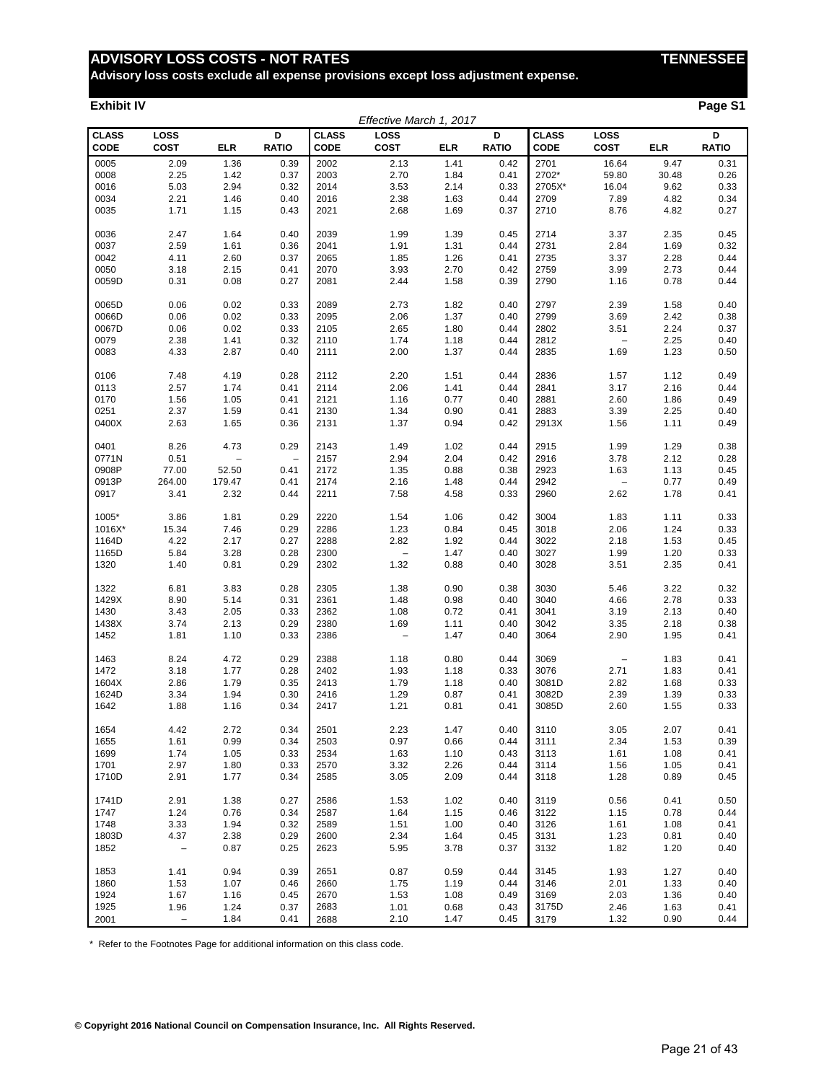**Advisory loss costs exclude all expense provisions except loss adjustment expense.**

## **Exhibit IV Page S1**

|                             |                     |                          |                   |                             | Effective March 1, 2017  |            |                   |                             |                          |            |                   |
|-----------------------------|---------------------|--------------------------|-------------------|-----------------------------|--------------------------|------------|-------------------|-----------------------------|--------------------------|------------|-------------------|
| <b>CLASS</b><br><b>CODE</b> | LOSS<br><b>COST</b> | <b>ELR</b>               | D<br><b>RATIO</b> | <b>CLASS</b><br><b>CODE</b> | LOSS<br><b>COST</b>      | <b>ELR</b> | D<br><b>RATIO</b> | <b>CLASS</b><br><b>CODE</b> | LOSS<br>COST             | <b>ELR</b> | D<br><b>RATIO</b> |
| 0005                        | 2.09                | 1.36                     | 0.39              | 2002                        | 2.13                     | 1.41       | 0.42              | 2701                        | 16.64                    | 9.47       | 0.31              |
| 0008                        | 2.25                | 1.42                     | 0.37              | 2003                        | 2.70                     | 1.84       | 0.41              | 2702*                       | 59.80                    | 30.48      | 0.26              |
| 0016                        | 5.03                | 2.94                     | 0.32              | 2014                        | 3.53                     | 2.14       | 0.33              | 2705X*                      | 16.04                    | 9.62       | 0.33              |
| 0034                        | 2.21                | 1.46                     | 0.40              | 2016                        | 2.38                     | 1.63       | 0.44              | 2709                        | 7.89                     | 4.82       | 0.34              |
| 0035                        | 1.71                | 1.15                     | 0.43              | 2021                        | 2.68                     | 1.69       | 0.37              | 2710                        | 8.76                     | 4.82       | 0.27              |
| 0036                        | 2.47                | 1.64                     | 0.40              | 2039                        | 1.99                     | 1.39       | 0.45              | 2714                        | 3.37                     | 2.35       | 0.45              |
| 0037                        | 2.59                | 1.61                     | 0.36              | 2041                        | 1.91                     | 1.31       | 0.44              | 2731                        | 2.84                     | 1.69       | 0.32              |
| 0042                        | 4.11                | 2.60                     | 0.37              | 2065                        | 1.85                     | 1.26       | 0.41              | 2735                        | 3.37                     | 2.28       | 0.44              |
| 0050                        | 3.18                | 2.15                     | 0.41              | 2070                        | 3.93                     | 2.70       | 0.42              | 2759                        | 3.99                     | 2.73       | 0.44              |
| 0059D                       | 0.31                | 0.08                     | 0.27              | 2081                        | 2.44                     | 1.58       | 0.39              | 2790                        | 1.16                     | 0.78       | 0.44              |
| 0065D                       | 0.06                | 0.02                     | 0.33              | 2089                        | 2.73                     | 1.82       | 0.40              | 2797                        | 2.39                     | 1.58       | 0.40              |
| 0066D                       | 0.06                | 0.02                     | 0.33              | 2095                        | 2.06                     | 1.37       | 0.40              | 2799                        | 3.69                     | 2.42       | 0.38              |
| 0067D                       | 0.06                | 0.02                     | 0.33              | 2105                        | 2.65                     | 1.80       | 0.44              | 2802                        | 3.51                     | 2.24       | 0.37              |
| 0079                        | 2.38                | 1.41                     | 0.32              | 2110                        | 1.74                     | 1.18       | 0.44              | 2812                        | $\overline{\phantom{a}}$ | 2.25       | 0.40              |
| 0083                        | 4.33                | 2.87                     | 0.40              | 2111                        | 2.00                     | 1.37       | 0.44              | 2835                        | 1.69                     | 1.23       | 0.50              |
| 0106                        | 7.48                | 4.19                     | 0.28              | 2112                        | 2.20                     | 1.51       | 0.44              | 2836                        | 1.57                     | 1.12       | 0.49              |
| 0113                        | 2.57                | 1.74                     | 0.41              | 2114                        | 2.06                     | 1.41       | 0.44              | 2841                        | 3.17                     | 2.16       | 0.44              |
| 0170                        | 1.56                | 1.05                     | 0.41              | 2121                        | 1.16                     | 0.77       | 0.40              | 2881                        | 2.60                     | 1.86       | 0.49              |
| 0251                        | 2.37                | 1.59                     | 0.41              | 2130                        | 1.34                     | 0.90       | 0.41              | 2883                        | 3.39                     | 2.25       | 0.40              |
| 0400X                       | 2.63                | 1.65                     | 0.36              | 2131                        | 1.37                     | 0.94       | 0.42              | 2913X                       | 1.56                     | 1.11       | 0.49              |
| 0401                        | 8.26                | 4.73                     | 0.29              | 2143                        | 1.49                     | 1.02       | 0.44              | 2915                        | 1.99                     | 1.29       | 0.38              |
| 0771N                       | 0.51                | $\overline{\phantom{0}}$ | $\qquad \qquad -$ | 2157                        | 2.94                     | 2.04       | 0.42              | 2916                        | 3.78                     | 2.12       | 0.28              |
| 0908P                       | 77.00               | 52.50                    | 0.41              | 2172                        | 1.35                     | 0.88       | 0.38              | 2923                        | 1.63                     | 1.13       | 0.45              |
| 0913P                       | 264.00              | 179.47                   | 0.41              | 2174                        | 2.16                     | 1.48       | 0.44              | 2942                        | $\overline{a}$           | 0.77       | 0.49              |
| 0917                        | 3.41                | 2.32                     | 0.44              | 2211                        | 7.58                     | 4.58       | 0.33              | 2960                        | 2.62                     | 1.78       | 0.41              |
| 1005*                       | 3.86                | 1.81                     | 0.29              | 2220                        | 1.54                     | 1.06       | 0.42              | 3004                        | 1.83                     | 1.11       | 0.33              |
| 1016X*                      | 15.34               | 7.46                     | 0.29              | 2286                        | 1.23                     | 0.84       | 0.45              | 3018                        | 2.06                     | 1.24       | 0.33              |
| 1164D                       | 4.22                | 2.17                     | 0.27              | 2288                        | 2.82                     | 1.92       | 0.44              | 3022                        | 2.18                     | 1.53       | 0.45              |
| 1165D                       | 5.84                | 3.28                     | 0.28              | 2300                        | $\overline{\phantom{a}}$ | 1.47       | 0.40              | 3027                        | 1.99                     | 1.20       | 0.33              |
| 1320                        | 1.40                | 0.81                     | 0.29              | 2302                        | 1.32                     | 0.88       | 0.40              | 3028                        | 3.51                     | 2.35       | 0.41              |
| 1322                        | 6.81                | 3.83                     | 0.28              | 2305                        | 1.38                     | 0.90       | 0.38              | 3030                        | 5.46                     | 3.22       | 0.32              |
| 1429X                       | 8.90                | 5.14                     | 0.31              | 2361                        | 1.48                     | 0.98       | 0.40              | 3040                        | 4.66                     | 2.78       | 0.33              |
| 1430                        | 3.43                | 2.05                     | 0.33              | 2362                        | 1.08                     | 0.72       | 0.41              | 3041                        | 3.19                     | 2.13       | 0.40              |
| 1438X                       | 3.74                | 2.13                     | 0.29              | 2380                        | 1.69                     | 1.11       | 0.40              | 3042                        | 3.35                     | 2.18       | 0.38              |
| 1452                        | 1.81                | 1.10                     | 0.33              | 2386                        | $\qquad \qquad -$        | 1.47       | 0.40              | 3064                        | 2.90                     | 1.95       | 0.41              |
| 1463                        | 8.24                | 4.72                     | 0.29              | 2388                        | 1.18                     | 0.80       | 0.44              | 3069                        | $\qquad \qquad -$        | 1.83       | 0.41              |
| 1472                        | 3.18                | 1.77                     | 0.28              | 2402                        | 1.93                     | 1.18       | 0.33              | 3076                        | 2.71                     | 1.83       | 0.41              |
| 1604X                       | 2.86                | 1.79                     | 0.35              | 2413                        | 1.79                     | 1.18       | 0.40              | 3081D                       | 2.82                     | 1.68       | 0.33              |
| 1624D                       | 3.34                | 1.94                     | 0.30              | 2416                        | 1.29                     | 0.87       | 0.41              | 3082D                       | 2.39                     | 1.39       | 0.33              |
| 1642                        | 1.88                | 1.16                     | 0.34              | 2417                        | 1.21                     | 0.81       | 0.41              | 3085D                       | 2.60                     | 1.55       | 0.33              |
| 1654                        | 4.42                | 2.72                     | 0.34              | 2501                        | 2.23                     | 1.47       | 0.40              | 3110                        | 3.05                     | 2.07       | 0.41              |
| 1655                        | 1.61                | 0.99                     | 0.34              | 2503                        | 0.97                     | 0.66       | 0.44              | 3111                        | 2.34                     | 1.53       | 0.39              |
| 1699                        | 1.74                | 1.05                     | 0.33              | 2534                        | 1.63                     | 1.10       | 0.43              | 3113                        | 1.61                     | 1.08       | 0.41              |
| 1701                        | 2.97                | 1.80                     | 0.33              | 2570                        | 3.32                     | 2.26       | 0.44              | 3114                        | 1.56                     | 1.05       | 0.41              |
| 1710D                       | 2.91                | 1.77                     | 0.34              | 2585                        | 3.05                     | 2.09       | 0.44              | 3118                        | 1.28                     | 0.89       | 0.45              |
| 1741D                       | 2.91                | 1.38                     | 0.27              | 2586                        | 1.53                     | 1.02       | 0.40              | 3119                        | 0.56                     | 0.41       | 0.50              |
| 1747                        | 1.24                | 0.76                     | 0.34              | 2587                        | 1.64                     | 1.15       | 0.46              | 3122                        | 1.15                     | 0.78       | 0.44              |
| 1748                        | 3.33                | 1.94                     | 0.32              | 2589                        | 1.51                     | 1.00       | 0.40              | 3126                        | 1.61                     | 1.08       | 0.41              |
| 1803D                       | 4.37                | 2.38                     | 0.29              | 2600                        | 2.34                     | 1.64       | 0.45              | 3131                        | 1.23                     | 0.81       | 0.40              |
| 1852                        | $\qquad \qquad -$   | 0.87                     | 0.25              | 2623                        | 5.95                     | 3.78       | 0.37              | 3132                        | 1.82                     | 1.20       | 0.40              |
| 1853                        | 1.41                | 0.94                     | 0.39              | 2651                        | 0.87                     | 0.59       | 0.44              | 3145                        | 1.93                     | 1.27       | 0.40              |
| 1860                        | 1.53                | 1.07                     | 0.46              | 2660                        | 1.75                     | 1.19       | 0.44              | 3146                        | 2.01                     | 1.33       | 0.40              |
| 1924                        | 1.67                | 1.16                     | 0.45              | 2670                        | 1.53                     | 1.08       | 0.49              | 3169                        | 2.03                     | 1.36       | 0.40              |
| 1925                        | 1.96                | 1.24                     | 0.37              | 2683                        | 1.01                     | 0.68       | 0.43              | 3175D                       | 2.46                     | 1.63       | 0.41              |
| 2001                        | $\qquad \qquad -$   | 1.84                     | 0.41              | 2688                        | 2.10                     | 1.47       | 0.45              | 3179                        | 1.32                     | 0.90       | 0.44              |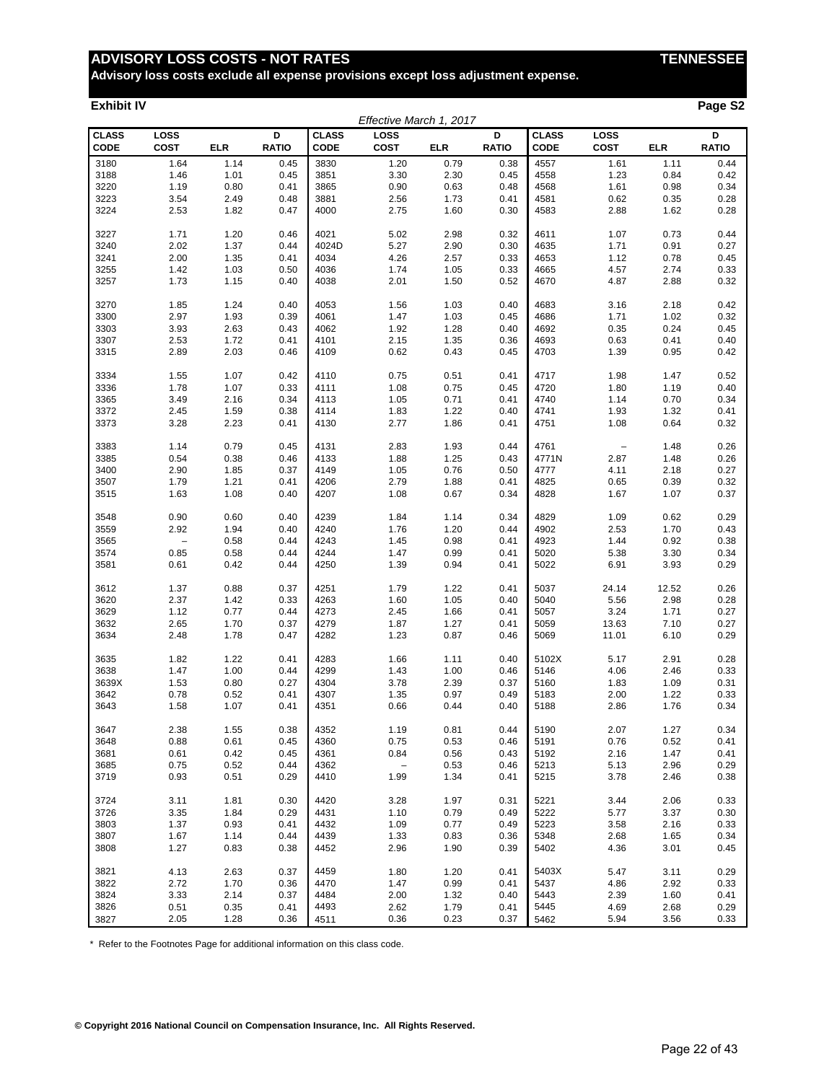**Advisory loss costs exclude all expense provisions except loss adjustment expense.**

## **Exhibit IV Page S2**

|                             |                          |            |                   |                      | Effective March 1, 2017 |            |                   |                      |                   |            |                   |
|-----------------------------|--------------------------|------------|-------------------|----------------------|-------------------------|------------|-------------------|----------------------|-------------------|------------|-------------------|
| <b>CLASS</b><br><b>CODE</b> | LOSS<br>COST             | <b>ELR</b> | D<br><b>RATIO</b> | <b>CLASS</b><br>CODE | LOSS<br><b>COST</b>     | <b>ELR</b> | D<br><b>RATIO</b> | <b>CLASS</b><br>CODE | LOSS<br>COST      | <b>ELR</b> | D<br><b>RATIO</b> |
| 3180                        | 1.64                     | 1.14       | 0.45              | 3830                 | 1.20                    | 0.79       | 0.38              | 4557                 | 1.61              | 1.11       | 0.44              |
| 3188                        | 1.46                     | 1.01       | 0.45              | 3851                 | 3.30                    | 2.30       | 0.45              | 4558                 | 1.23              | 0.84       | 0.42              |
| 3220                        | 1.19                     | 0.80       | 0.41              | 3865                 | 0.90                    | 0.63       | 0.48              | 4568                 | 1.61              | 0.98       | 0.34              |
| 3223                        | 3.54                     | 2.49       | 0.48              | 3881                 | 2.56                    | 1.73       | 0.41              | 4581                 | 0.62              | 0.35       | 0.28              |
| 3224                        | 2.53                     | 1.82       | 0.47              | 4000                 | 2.75                    | 1.60       | 0.30              | 4583                 | 2.88              | 1.62       | 0.28              |
| 3227                        | 1.71                     | 1.20       | 0.46              | 4021                 | 5.02                    | 2.98       | 0.32              | 4611                 | 1.07              | 0.73       | 0.44              |
| 3240                        | 2.02                     | 1.37       | 0.44              | 4024D                | 5.27                    | 2.90       | 0.30              | 4635                 | 1.71              | 0.91       | 0.27              |
| 3241                        | 2.00                     | 1.35       | 0.41              | 4034                 | 4.26                    | 2.57       | 0.33              | 4653                 | 1.12              | 0.78       | 0.45              |
| 3255                        | 1.42                     | 1.03       | 0.50              | 4036                 | 1.74                    | 1.05       | 0.33              | 4665                 | 4.57              | 2.74       | 0.33              |
| 3257                        | 1.73                     | 1.15       | 0.40              | 4038                 | 2.01                    | 1.50       | 0.52              | 4670                 | 4.87              | 2.88       | 0.32              |
| 3270                        | 1.85                     | 1.24       | 0.40              | 4053                 | 1.56                    | 1.03       | 0.40              | 4683                 | 3.16              | 2.18       | 0.42              |
| 3300                        | 2.97                     | 1.93       | 0.39              | 4061                 | 1.47                    | 1.03       | 0.45              | 4686                 | 1.71              | 1.02       | 0.32              |
| 3303                        | 3.93                     | 2.63       | 0.43              | 4062                 | 1.92                    | 1.28       | 0.40              | 4692                 | 0.35              | 0.24       | 0.45              |
| 3307                        | 2.53                     | 1.72       | 0.41              | 4101                 | 2.15                    | 1.35       | 0.36              | 4693                 | 0.63              | 0.41       | 0.40              |
| 3315                        | 2.89                     | 2.03       | 0.46              | 4109                 | 0.62                    | 0.43       | 0.45              | 4703                 | 1.39              | 0.95       | 0.42              |
| 3334                        | 1.55                     | 1.07       | 0.42              | 4110                 | 0.75                    | 0.51       | 0.41              | 4717                 | 1.98              | 1.47       | 0.52              |
| 3336                        | 1.78                     | 1.07       | 0.33              | 4111                 | 1.08                    | 0.75       | 0.45              | 4720                 | 1.80              | 1.19       | 0.40              |
| 3365                        | 3.49                     | 2.16       | 0.34              | 4113                 | 1.05                    | 0.71       | 0.41              | 4740                 | 1.14              | 0.70       | 0.34              |
| 3372                        | 2.45                     | 1.59       | 0.38              | 4114                 | 1.83                    | 1.22       | 0.40              | 4741                 | 1.93              | 1.32       | 0.41              |
| 3373                        | 3.28                     | 2.23       | 0.41              | 4130                 | 2.77                    | 1.86       | 0.41              | 4751                 | 1.08              | 0.64       | 0.32              |
| 3383                        | 1.14                     | 0.79       | 0.45              | 4131                 | 2.83                    | 1.93       | 0.44              | 4761                 | $\qquad \qquad -$ | 1.48       | 0.26              |
| 3385                        | 0.54                     | 0.38       | 0.46              | 4133                 | 1.88                    | 1.25       | 0.43              | 4771N                | 2.87              | 1.48       | 0.26              |
| 3400                        | 2.90                     | 1.85       | 0.37              | 4149                 | 1.05                    | 0.76       | 0.50              | 4777                 | 4.11              | 2.18       | 0.27              |
| 3507                        | 1.79                     | 1.21       | 0.41              | 4206                 | 2.79                    | 1.88       | 0.41              | 4825                 | 0.65              | 0.39       | 0.32              |
| 3515                        | 1.63                     | 1.08       | 0.40              | 4207                 | 1.08                    | 0.67       | 0.34              | 4828                 | 1.67              | 1.07       | 0.37              |
| 3548                        | 0.90                     | 0.60       | 0.40              | 4239                 | 1.84                    | 1.14       | 0.34              | 4829                 | 1.09              | 0.62       | 0.29              |
| 3559                        | 2.92                     | 1.94       | 0.40              | 4240                 | 1.76                    | 1.20       | 0.44              | 4902                 | 2.53              | 1.70       | 0.43              |
| 3565                        | $\overline{\phantom{0}}$ | 0.58       | 0.44              | 4243                 | 1.45                    | 0.98       | 0.41              | 4923                 | 1.44              | 0.92       | 0.38              |
| 3574                        | 0.85                     | 0.58       | 0.44              | 4244                 | 1.47                    | 0.99       | 0.41              | 5020                 | 5.38              | 3.30       | 0.34              |
| 3581                        | 0.61                     | 0.42       | 0.44              | 4250                 | 1.39                    | 0.94       | 0.41              | 5022                 | 6.91              | 3.93       | 0.29              |
| 3612                        | 1.37                     | 0.88       | 0.37              | 4251                 | 1.79                    | 1.22       | 0.41              | 5037                 | 24.14             | 12.52      | 0.26              |
| 3620                        | 2.37                     | 1.42       | 0.33              | 4263                 | 1.60                    | 1.05       | 0.40              | 5040                 | 5.56              | 2.98       | 0.28              |
| 3629                        | 1.12                     | 0.77       | 0.44              | 4273                 | 2.45                    | 1.66       | 0.41              | 5057                 | 3.24              | 1.71       | 0.27              |
| 3632                        | 2.65                     | 1.70       | 0.37              | 4279                 | 1.87                    | 1.27       | 0.41              | 5059                 | 13.63             | 7.10       | 0.27              |
| 3634                        | 2.48                     | 1.78       | 0.47              | 4282                 | 1.23                    | 0.87       | 0.46              | 5069                 | 11.01             | 6.10       | 0.29              |
| 3635                        | 1.82                     | 1.22       | 0.41              | 4283                 | 1.66                    | 1.11       | 0.40              | 5102X                | 5.17              | 2.91       | 0.28              |
| 3638                        | 1.47                     | 1.00       | 0.44              | 4299                 | 1.43                    | 1.00       | 0.46              | 5146                 | 4.06              | 2.46       | 0.33              |
| 3639X                       | 1.53                     | 0.80       | 0.27              | 4304                 | 3.78                    | 2.39       | 0.37              | 5160                 | 1.83              | 1.09       | 0.31              |
| 3642                        | 0.78                     | 0.52       | 0.41              | 4307                 | 1.35                    | 0.97       | 0.49              | 5183                 | 2.00              | 1.22       | 0.33              |
| 3643                        | 1.58                     | 1.07       | 0.41              | 4351                 | 0.66                    | 0.44       | 0.40              | 5188                 | 2.86              | 1.76       | 0.34              |
| 3647                        | 2.38                     | 1.55       | 0.38              | 4352                 | 1.19                    | 0.81       | 0.44              | 5190                 | 2.07              | 1.27       | 0.34              |
| 3648                        | 0.88                     | 0.61       | 0.45              | 4360                 | 0.75                    | 0.53       | 0.46              | 5191                 | 0.76              | 0.52       | 0.41              |
| 3681                        | 0.61                     | 0.42       | 0.45              | 4361                 | 0.84                    | 0.56       | 0.43              | 5192                 | 2.16              | 1.47       | 0.41              |
| 3685                        | 0.75                     | 0.52       | 0.44              | 4362                 | $\qquad \qquad -$       | 0.53       | 0.46              | 5213                 | 5.13              | 2.96       | 0.29              |
| 3719                        | 0.93                     | 0.51       | 0.29              | 4410                 | 1.99                    | 1.34       | 0.41              | 5215                 | 3.78              | 2.46       | 0.38              |
| 3724                        | 3.11                     | 1.81       | 0.30              | 4420                 | 3.28                    | 1.97       | 0.31              | 5221                 | 3.44              | 2.06       | 0.33              |
| 3726                        | 3.35                     | 1.84       | 0.29              | 4431                 | 1.10                    | 0.79       | 0.49              | 5222                 | 5.77              | 3.37       | 0.30              |
| 3803                        | 1.37                     | 0.93       | 0.41              | 4432                 | 1.09                    | 0.77       | 0.49              | 5223                 | 3.58              | 2.16       | 0.33              |
| 3807                        | 1.67                     | 1.14       | 0.44              | 4439                 | 1.33                    | 0.83       | 0.36              | 5348                 | 2.68              | 1.65       | 0.34              |
| 3808                        | 1.27                     | 0.83       | 0.38              | 4452                 | 2.96                    | 1.90       | 0.39              | 5402                 | 4.36              | 3.01       | 0.45              |
| 3821                        | 4.13                     | 2.63       | 0.37              | 4459                 | 1.80                    | 1.20       | 0.41              | 5403X                | 5.47              | 3.11       | 0.29              |
| 3822                        | 2.72                     | 1.70       | 0.36              | 4470                 | 1.47                    | 0.99       | 0.41              | 5437                 | 4.86              | 2.92       | 0.33              |
| 3824                        | 3.33                     | 2.14       | 0.37              | 4484                 | 2.00                    | 1.32       | 0.40              | 5443                 | 2.39              | 1.60       | 0.41              |
| 3826                        | 0.51                     | 0.35       | 0.41              | 4493                 | 2.62                    | 1.79       | 0.41              | 5445                 | 4.69              | 2.68       | 0.29              |
| 3827                        | 2.05                     | 1.28       | 0.36              | 4511                 | 0.36                    | 0.23       | 0.37              | 5462                 | 5.94              | 3.56       | 0.33              |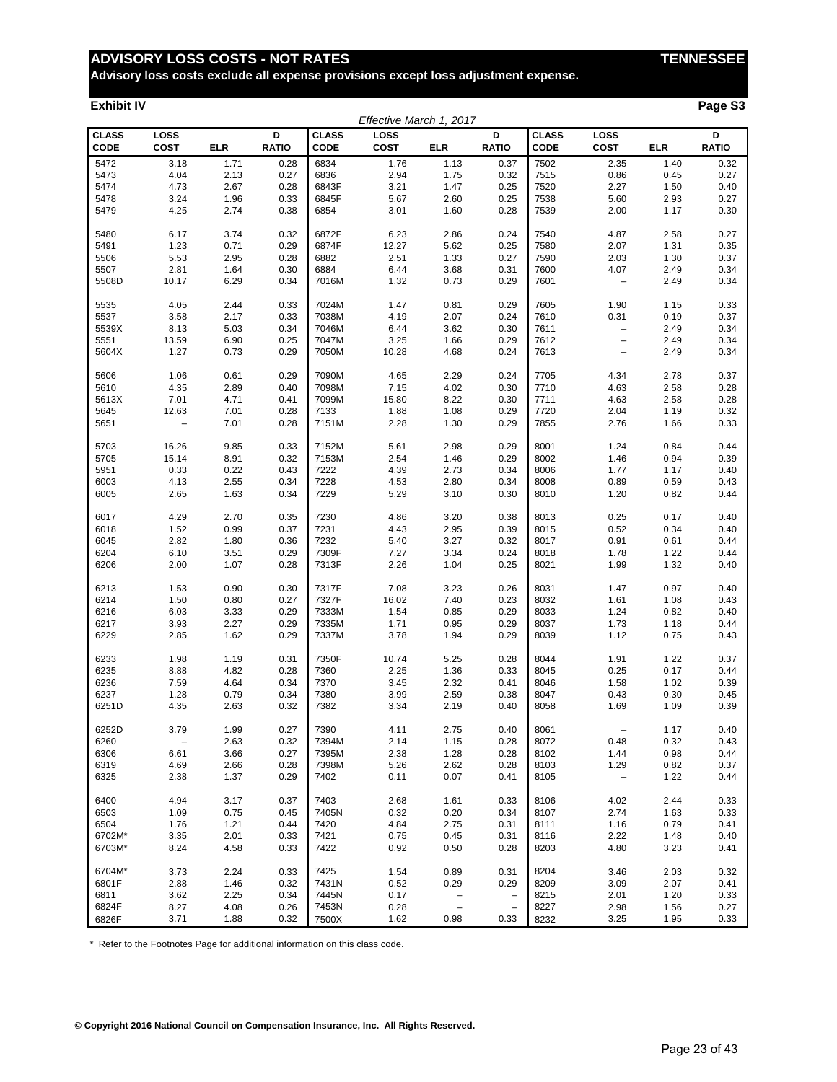**Advisory loss costs exclude all expense provisions except loss adjustment expense.**

## **Exhibit IV Page S3**

| Effective March 1, 2017     |                            |            |                   |                      |                     |                                               |                                                      |                             |                          |            |                   |
|-----------------------------|----------------------------|------------|-------------------|----------------------|---------------------|-----------------------------------------------|------------------------------------------------------|-----------------------------|--------------------------|------------|-------------------|
| <b>CLASS</b><br><b>CODE</b> | <b>LOSS</b><br><b>COST</b> | <b>ELR</b> | D<br><b>RATIO</b> | <b>CLASS</b><br>CODE | LOSS<br><b>COST</b> | <b>ELR</b>                                    | D<br><b>RATIO</b>                                    | <b>CLASS</b><br><b>CODE</b> | LOSS<br><b>COST</b>      | <b>ELR</b> | D<br><b>RATIO</b> |
| 5472                        | 3.18                       | 1.71       | 0.28              | 6834                 | 1.76                | 1.13                                          | 0.37                                                 | 7502                        | 2.35                     | 1.40       | 0.32              |
| 5473                        | 4.04                       | 2.13       | 0.27              | 6836                 | 2.94                | 1.75                                          | 0.32                                                 | 7515                        | 0.86                     | 0.45       | 0.27              |
| 5474                        | 4.73                       | 2.67       | 0.28              | 6843F                | 3.21                | 1.47                                          | 0.25                                                 | 7520                        | 2.27                     | 1.50       | 0.40              |
| 5478                        | 3.24                       | 1.96       | 0.33              | 6845F                | 5.67                | 2.60                                          | 0.25                                                 | 7538                        | 5.60                     | 2.93       | 0.27              |
| 5479                        | 4.25                       | 2.74       | 0.38              | 6854                 | 3.01                | 1.60                                          | 0.28                                                 | 7539                        | 2.00                     | 1.17       | 0.30              |
| 5480                        | 6.17                       | 3.74       | 0.32              | 6872F                | 6.23                | 2.86                                          | 0.24                                                 | 7540                        | 4.87                     | 2.58       | 0.27              |
| 5491                        | 1.23                       | 0.71       | 0.29              | 6874F                | 12.27               | 5.62                                          | 0.25                                                 | 7580                        | 2.07                     | 1.31       | 0.35              |
| 5506                        | 5.53                       | 2.95       | 0.28              | 6882                 | 2.51                | 1.33                                          | 0.27                                                 | 7590                        | 2.03                     | 1.30       | 0.37              |
| 5507                        | 2.81                       | 1.64       | 0.30              | 6884                 | 6.44                | 3.68                                          | 0.31                                                 | 7600                        | 4.07                     | 2.49       | 0.34              |
| 5508D                       | 10.17                      | 6.29       | 0.34              | 7016M                | 1.32                | 0.73                                          | 0.29                                                 | 7601                        | $\qquad \qquad -$        | 2.49       | 0.34              |
| 5535                        | 4.05                       | 2.44       | 0.33              | 7024M                | 1.47                | 0.81                                          | 0.29                                                 | 7605                        | 1.90                     | 1.15       | 0.33              |
| 5537                        | 3.58                       | 2.17       | 0.33              | 7038M                | 4.19                | 2.07                                          | 0.24                                                 | 7610                        | 0.31                     | 0.19       | 0.37              |
| 5539X                       | 8.13                       | 5.03       | 0.34              | 7046M                | 6.44                | 3.62                                          | 0.30                                                 | 7611                        | $\overline{\phantom{0}}$ | 2.49       | 0.34              |
| 5551                        | 13.59                      | 6.90       | 0.25              | 7047M                | 3.25                | 1.66                                          | 0.29                                                 | 7612                        | $\qquad \qquad -$        | 2.49       | 0.34              |
| 5604X                       | 1.27                       | 0.73       | 0.29              | 7050M                | 10.28               | 4.68                                          | 0.24                                                 | 7613                        | $\qquad \qquad -$        | 2.49       | 0.34              |
|                             |                            |            |                   |                      |                     |                                               |                                                      |                             |                          |            |                   |
| 5606                        | 1.06                       | 0.61       | 0.29              | 7090M                | 4.65                | 2.29                                          | 0.24                                                 | 7705                        | 4.34                     | 2.78       | 0.37              |
| 5610                        | 4.35                       | 2.89       | 0.40              | 7098M                | 7.15                | 4.02                                          | 0.30                                                 | 7710                        | 4.63                     | 2.58       | 0.28              |
| 5613X                       | 7.01                       | 4.71       | 0.41              | 7099M                | 15.80               | 8.22                                          | 0.30                                                 | 7711                        | 4.63                     | 2.58       | 0.28              |
| 5645                        | 12.63                      | 7.01       | 0.28              | 7133                 | 1.88                | 1.08                                          | 0.29                                                 | 7720                        | 2.04                     | 1.19       | 0.32              |
| 5651                        | $\overline{\phantom{0}}$   | 7.01       | 0.28              | 7151M                | 2.28                | 1.30                                          | 0.29                                                 | 7855                        | 2.76                     | 1.66       | 0.33              |
| 5703                        | 16.26                      | 9.85       | 0.33              | 7152M                | 5.61                | 2.98                                          | 0.29                                                 | 8001                        | 1.24                     | 0.84       | 0.44              |
| 5705                        | 15.14                      | 8.91       | 0.32              | 7153M                | 2.54                | 1.46                                          | 0.29                                                 | 8002                        | 1.46                     | 0.94       | 0.39              |
| 5951                        | 0.33                       | 0.22       | 0.43              | 7222                 | 4.39                | 2.73                                          | 0.34                                                 | 8006                        | 1.77                     | 1.17       | 0.40              |
| 6003                        | 4.13                       | 2.55       | 0.34              | 7228                 | 4.53                | 2.80                                          | 0.34                                                 | 8008                        | 0.89                     | 0.59       | 0.43              |
| 6005                        | 2.65                       | 1.63       | 0.34              | 7229                 | 5.29                | 3.10                                          | 0.30                                                 | 8010                        | 1.20                     | 0.82       | 0.44              |
| 6017                        | 4.29                       | 2.70       | 0.35              | 7230                 | 4.86                | 3.20                                          | 0.38                                                 | 8013                        | 0.25                     | 0.17       | 0.40              |
| 6018                        | 1.52                       | 0.99       | 0.37              | 7231                 | 4.43                | 2.95                                          | 0.39                                                 | 8015                        | 0.52                     | 0.34       | 0.40              |
|                             |                            |            |                   | 7232                 |                     |                                               |                                                      |                             |                          |            | 0.44              |
| 6045                        | 2.82                       | 1.80       | 0.36              |                      | 5.40                | 3.27                                          | 0.32                                                 | 8017                        | 0.91                     | 0.61       |                   |
| 6204                        | 6.10                       | 3.51       | 0.29              | 7309F                | 7.27                | 3.34                                          | 0.24                                                 | 8018                        | 1.78                     | 1.22       | 0.44              |
| 6206                        | 2.00                       | 1.07       | 0.28              | 7313F                | 2.26                | 1.04                                          | 0.25                                                 | 8021                        | 1.99                     | 1.32       | 0.40              |
| 6213                        | 1.53                       | 0.90       | 0.30              | 7317F                | 7.08                | 3.23                                          | 0.26                                                 | 8031                        | 1.47                     | 0.97       | 0.40              |
| 6214                        | 1.50                       | 0.80       | 0.27              | 7327F                | 16.02               | 7.40                                          | 0.23                                                 | 8032                        | 1.61                     | 1.08       | 0.43              |
| 6216                        | 6.03                       | 3.33       | 0.29              | 7333M                | 1.54                | 0.85                                          | 0.29                                                 | 8033                        | 1.24                     | 0.82       | 0.40              |
| 6217                        | 3.93                       | 2.27       | 0.29              | 7335M                | 1.71                | 0.95                                          | 0.29                                                 | 8037                        | 1.73                     | 1.18       | 0.44              |
| 6229                        | 2.85                       | 1.62       | 0.29              | 7337M                | 3.78                | 1.94                                          | 0.29                                                 | 8039                        | 1.12                     | 0.75       | 0.43              |
| 6233                        | 1.98                       | 1.19       | 0.31              | 7350F                | 10.74               | 5.25                                          | 0.28                                                 | 8044                        | 1.91                     | 1.22       | 0.37              |
| 6235                        | 8.88                       | 4.82       | 0.28              | 7360                 | 2.25                | 1.36                                          | 0.33                                                 | 8045                        | 0.25                     | 0.17       | 0.44              |
| 6236                        | 7.59                       | 4.64       | 0.34              | 7370                 | 3.45                | 2.32                                          | 0.41                                                 | 8046                        | 1.58                     | 1.02       | 0.39              |
| 6237                        | 1.28                       | 0.79       | 0.34              | 7380                 | 3.99                | 2.59                                          | 0.38                                                 | 8047                        | 0.43                     | 0.30       | 0.45              |
| 6251D                       | 4.35                       | 2.63       | 0.32              | 7382                 | 3.34                | 2.19                                          | 0.40                                                 | 8058                        | 1.69                     | 1.09       | 0.39              |
| 6252D                       | 3.79                       | 1.99       | 0.27              | 7390                 | 4.11                | 2.75                                          | 0.40                                                 | 8061                        |                          | 1.17       | 0.40              |
| 6260                        | $\overline{\phantom{a}}$   | 2.63       | 0.32              | 7394M                | 2.14                | 1.15                                          | 0.28                                                 | 8072                        | 0.48                     | 0.32       | 0.43              |
| 6306                        | 6.61                       | 3.66       | 0.27              | 7395M                | 2.38                | 1.28                                          | 0.28                                                 | 8102                        | 1.44                     | 0.98       | 0.44              |
| 6319                        | 4.69                       | 2.66       | 0.28              | 7398M                | 5.26                | 2.62                                          | 0.28                                                 | 8103                        | 1.29                     | 0.82       | 0.37              |
| 6325                        | 2.38                       | 1.37       | 0.29              | 7402                 | 0.11                | 0.07                                          | 0.41                                                 | 8105                        | $\qquad \qquad -$        | 1.22       | 0.44              |
| 6400                        | 4.94                       | 3.17       | 0.37              | 7403                 | 2.68                | 1.61                                          | 0.33                                                 | 8106                        | 4.02                     | 2.44       | 0.33              |
| 6503                        | 1.09                       | 0.75       | 0.45              | 7405N                | 0.32                | 0.20                                          | 0.34                                                 | 8107                        | 2.74                     | 1.63       | 0.33              |
| 6504                        | 1.76                       | 1.21       | 0.44              | 7420                 | 4.84                | 2.75                                          | 0.31                                                 | 8111                        | 1.16                     | 0.79       | 0.41              |
| 6702M*                      | 3.35                       | 2.01       | 0.33              | 7421                 | 0.75                | 0.45                                          | 0.31                                                 | 8116                        | 2.22                     | 1.48       | 0.40              |
| 6703M*                      | 8.24                       | 4.58       | 0.33              | 7422                 | 0.92                | 0.50                                          | 0.28                                                 | 8203                        | 4.80                     | 3.23       | 0.41              |
| 6704M*                      | 3.73                       | 2.24       | 0.33              | 7425                 | 1.54                | 0.89                                          | 0.31                                                 | 8204                        | 3.46                     | 2.03       | 0.32              |
| 6801F                       | 2.88                       | 1.46       | 0.32              | 7431N                | 0.52                | 0.29                                          | 0.29                                                 | 8209                        | 3.09                     | 2.07       | 0.41              |
| 6811                        | 3.62                       | 2.25       | 0.34              | 7445N                | 0.17                |                                               |                                                      | 8215                        | 2.01                     | 1.20       | 0.33              |
| 6824F                       | 8.27                       | 4.08       | 0.26              | 7453N                | 0.28                | $\qquad \qquad -$<br>$\overline{\phantom{a}}$ | $\overline{\phantom{m}}$<br>$\overline{\phantom{a}}$ | 8227                        | 2.98                     | 1.56       | 0.27              |
|                             | 3.71                       | 1.88       | 0.32              |                      | 1.62                | 0.98                                          | 0.33                                                 |                             | 3.25                     | 1.95       | 0.33              |
| 6826F                       |                            |            |                   | 7500X                |                     |                                               |                                                      | 8232                        |                          |            |                   |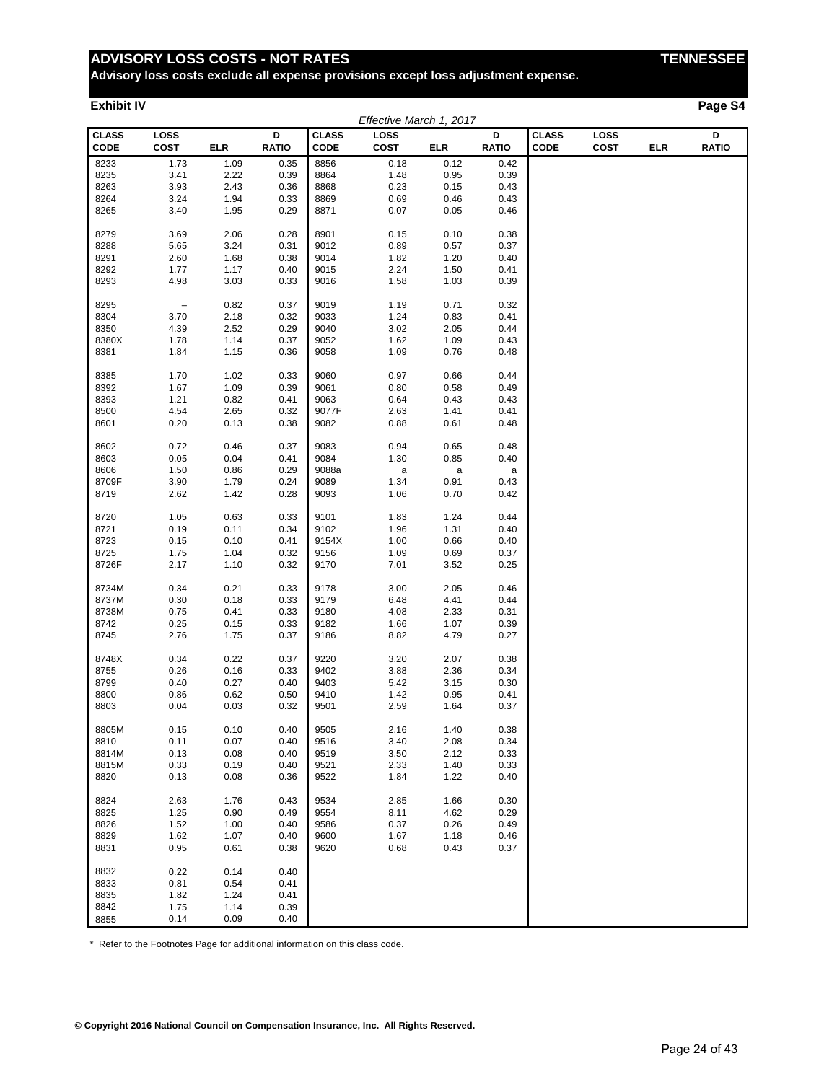**Advisory loss costs exclude all expense provisions except loss adjustment expense.**

## **Exhibit IV Page S4**

| ı<br>г. |  |
|---------|--|
|---------|--|

|              |                          |            |              |              | Effective March 1, 2017 |             |              |              |             |            |              |
|--------------|--------------------------|------------|--------------|--------------|-------------------------|-------------|--------------|--------------|-------------|------------|--------------|
| <b>CLASS</b> | LOSS                     |            | D            | <b>CLASS</b> | LOSS                    |             | D            | <b>CLASS</b> | LOSS        |            | D            |
| <b>CODE</b>  | <b>COST</b>              | <b>ELR</b> | <b>RATIO</b> | <b>CODE</b>  | <b>COST</b>             | <b>ELR</b>  | <b>RATIO</b> | CODE         | <b>COST</b> | <b>ELR</b> | <b>RATIO</b> |
| 8233         | 1.73                     | 1.09       | 0.35         | 8856         | 0.18                    | 0.12        | 0.42         |              |             |            |              |
| 8235         | 3.41                     | 2.22       | 0.39         | 8864         | 1.48                    | 0.95        | 0.39         |              |             |            |              |
|              |                          |            |              |              |                         |             |              |              |             |            |              |
| 8263         | 3.93                     | 2.43       | 0.36         | 8868         | 0.23                    | 0.15        | 0.43         |              |             |            |              |
| 8264         | 3.24                     | 1.94       | 0.33         | 8869         | 0.69                    | 0.46        | 0.43         |              |             |            |              |
| 8265         | 3.40                     | 1.95       | 0.29         | 8871         | 0.07                    | 0.05        | 0.46         |              |             |            |              |
|              |                          |            |              |              |                         |             |              |              |             |            |              |
| 8279         | 3.69                     | 2.06       | 0.28         | 8901         | 0.15                    | 0.10        | 0.38         |              |             |            |              |
| 8288         | 5.65                     | 3.24       | 0.31         | 9012         | 0.89                    | 0.57        | 0.37         |              |             |            |              |
| 8291         | 2.60                     | 1.68       | 0.38         | 9014         | 1.82                    | 1.20        | 0.40         |              |             |            |              |
| 8292         | 1.77                     | 1.17       | 0.40         | 9015         | 2.24                    | 1.50        | 0.41         |              |             |            |              |
| 8293         | 4.98                     | 3.03       | 0.33         | 9016         | 1.58                    | 1.03        | 0.39         |              |             |            |              |
|              |                          |            |              |              |                         |             |              |              |             |            |              |
| 8295         | $\overline{\phantom{a}}$ | 0.82       | 0.37         | 9019         | 1.19                    | 0.71        | 0.32         |              |             |            |              |
| 8304         | 3.70                     | 2.18       | 0.32         | 9033         | 1.24                    | 0.83        | 0.41         |              |             |            |              |
| 8350         | 4.39                     | 2.52       | 0.29         | 9040         | 3.02                    | 2.05        | 0.44         |              |             |            |              |
| 8380X        | 1.78                     | 1.14       | 0.37         | 9052         | 1.62                    | 1.09        | 0.43         |              |             |            |              |
| 8381         | 1.84                     | 1.15       | 0.36         | 9058         | 1.09                    | 0.76        | 0.48         |              |             |            |              |
|              |                          |            |              |              |                         |             |              |              |             |            |              |
| 8385         | 1.70                     | 1.02       | 0.33         | 9060         | 0.97                    | 0.66        | 0.44         |              |             |            |              |
| 8392         | 1.67                     |            |              |              | 0.80                    |             |              |              |             |            |              |
|              |                          | 1.09       | 0.39         | 9061         |                         | 0.58        | 0.49         |              |             |            |              |
| 8393         | 1.21                     | 0.82       | 0.41         | 9063         | 0.64                    | 0.43        | 0.43         |              |             |            |              |
| 8500         | 4.54                     | 2.65       | 0.32         | 9077F        | 2.63                    | 1.41        | 0.41         |              |             |            |              |
| 8601         | 0.20                     | 0.13       | 0.38         | 9082         | 0.88                    | 0.61        | 0.48         |              |             |            |              |
|              |                          |            |              |              |                         |             |              |              |             |            |              |
| 8602         | 0.72                     | 0.46       | 0.37         | 9083         | 0.94                    | 0.65        | 0.48         |              |             |            |              |
| 8603         | 0.05                     | 0.04       | 0.41         | 9084         | 1.30                    | 0.85        | 0.40         |              |             |            |              |
| 8606         | 1.50                     | 0.86       | 0.29         | 9088a        | a                       | $\mathsf a$ | a            |              |             |            |              |
| 8709F        | 3.90                     | 1.79       | 0.24         | 9089         | 1.34                    | 0.91        | 0.43         |              |             |            |              |
| 8719         | 2.62                     | 1.42       | 0.28         | 9093         | 1.06                    | 0.70        | 0.42         |              |             |            |              |
|              |                          |            |              |              |                         |             |              |              |             |            |              |
| 8720         | 1.05                     | 0.63       | 0.33         | 9101         | 1.83                    | 1.24        | 0.44         |              |             |            |              |
| 8721         | 0.19                     | 0.11       | 0.34         | 9102         | 1.96                    | 1.31        | 0.40         |              |             |            |              |
| 8723         | 0.15                     | 0.10       | 0.41         | 9154X        | 1.00                    | 0.66        | 0.40         |              |             |            |              |
| 8725         | 1.75                     | 1.04       | 0.32         | 9156         | 1.09                    | 0.69        | 0.37         |              |             |            |              |
| 8726F        | 2.17                     | 1.10       | 0.32         | 9170         | 7.01                    | 3.52        | 0.25         |              |             |            |              |
|              |                          |            |              |              |                         |             |              |              |             |            |              |
| 8734M        | 0.34                     | 0.21       | 0.33         | 9178         | 3.00                    | 2.05        | 0.46         |              |             |            |              |
|              |                          |            |              |              |                         |             |              |              |             |            |              |
| 8737M        | 0.30                     | 0.18       | 0.33         | 9179         | 6.48                    | 4.41        | 0.44         |              |             |            |              |
| 8738M        | 0.75                     | 0.41       | 0.33         | 9180         | 4.08                    | 2.33        | 0.31         |              |             |            |              |
| 8742         | 0.25                     | 0.15       | 0.33         | 9182         | 1.66                    | 1.07        | 0.39         |              |             |            |              |
| 8745         | 2.76                     | 1.75       | 0.37         | 9186         | 8.82                    | 4.79        | 0.27         |              |             |            |              |
|              |                          |            |              |              |                         |             |              |              |             |            |              |
| 8748X        | 0.34                     | 0.22       | 0.37         | 9220         | 3.20                    | 2.07        | 0.38         |              |             |            |              |
| 8755         | 0.26                     | 0.16       | 0.33         | 9402         | 3.88                    | 2.36        | 0.34         |              |             |            |              |
| 8799         | 0.40                     | 0.27       | 0.40         | 9403         | 5.42                    | 3.15        | 0.30         |              |             |            |              |
| 8800         | 0.86                     | 0.62       | 0.50         | 9410         | 1.42                    | 0.95        | 0.41         |              |             |            |              |
| 8803         | 0.04                     | 0.03       | 0.32         | 9501         | 2.59                    | 1.64        | 0.37         |              |             |            |              |
|              |                          |            |              |              |                         |             |              |              |             |            |              |
| 8805M        | 0.15                     | 0.10       | 0.40         | 9505         | 2.16                    | 1.40        | 0.38         |              |             |            |              |
| 8810         | 0.11                     | 0.07       | 0.40         | 9516         | 3.40                    | 2.08        | 0.34         |              |             |            |              |
| 8814M        | 0.13                     | 0.08       | 0.40         | 9519         | 3.50                    | 2.12        | 0.33         |              |             |            |              |
| 8815M        | 0.33                     | 0.19       | 0.40         | 9521         | 2.33                    | 1.40        | 0.33         |              |             |            |              |
| 8820         | 0.13                     | 0.08       | 0.36         | 9522         | 1.84                    | 1.22        | 0.40         |              |             |            |              |
|              |                          |            |              |              |                         |             |              |              |             |            |              |
| 8824         | 2.63                     | 1.76       | 0.43         | 9534         | 2.85                    | 1.66        | 0.30         |              |             |            |              |
| 8825         | 1.25                     | 0.90       | 0.49         | 9554         | 8.11                    | 4.62        | 0.29         |              |             |            |              |
| 8826         | 1.52                     | 1.00       | 0.40         | 9586         | 0.37                    | 0.26        | 0.49         |              |             |            |              |
| 8829         | 1.62                     | 1.07       | 0.40         | 9600         | 1.67                    | 1.18        | 0.46         |              |             |            |              |
| 8831         | 0.95                     | 0.61       | 0.38         | 9620         | 0.68                    | 0.43        | 0.37         |              |             |            |              |
|              |                          |            |              |              |                         |             |              |              |             |            |              |
|              |                          |            | 0.40         |              |                         |             |              |              |             |            |              |
| 8832         | 0.22                     | 0.14       |              |              |                         |             |              |              |             |            |              |
| 8833         | 0.81                     | 0.54       | 0.41         |              |                         |             |              |              |             |            |              |
| 8835         | 1.82                     | 1.24       | 0.41         |              |                         |             |              |              |             |            |              |
| 8842         | 1.75                     | 1.14       | 0.39         |              |                         |             |              |              |             |            |              |
| 8855         | 0.14                     | 0.09       | 0.40         |              |                         |             |              |              |             |            |              |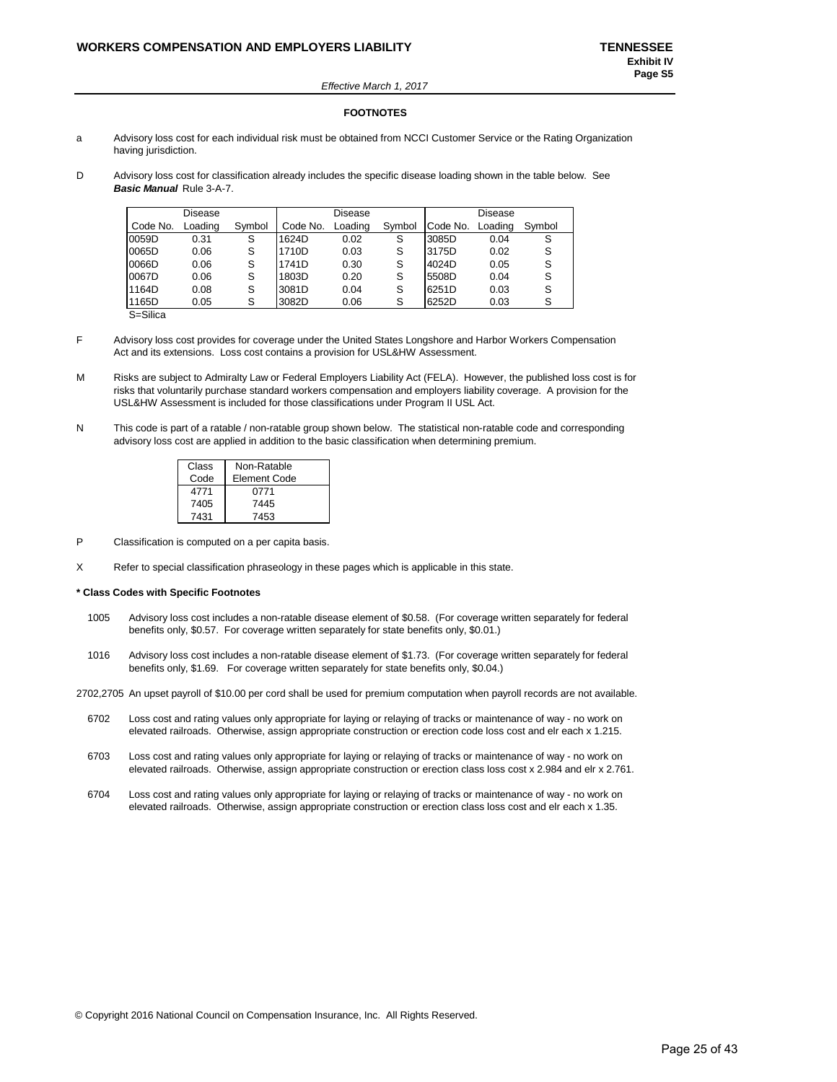#### *Effective March 1, 2017*

#### **FOOTNOTES**

- a Advisory loss cost for each individual risk must be obtained from NCCI Customer Service or the Rating Organization having jurisdiction.
- D Advisory loss cost for classification already includes the specific disease loading shown in the table below. See *Basic Manual* Rule 3-A-7.

|          | <b>Disease</b> |        |          | Disease |        | <b>Disease</b> |         |        |
|----------|----------------|--------|----------|---------|--------|----------------|---------|--------|
| Code No. | Loading        | Symbol | Code No. | Loading | Symbol | Code No.       | Loading | Symbol |
| 0059D    | 0.31           | S      | 1624D    | 0.02    | S      | 3085D          | 0.04    | S      |
| 0065D    | 0.06           | S      | 1710D    | 0.03    | S      | 3175D          | 0.02    | S      |
| 0066D    | 0.06           | S      | 1741D    | 0.30    | S      | 4024D          | 0.05    | S      |
| 0067D    | 0.06           | S      | 1803D    | 0.20    | S      | 5508D          | 0.04    | S      |
| 1164D    | 0.08           | S      | 3081D    | 0.04    | S      | 6251D          | 0.03    | S      |
| 1165D    | 0.05           | S      | 3082D    | 0.06    | S      | 6252D          | 0.03    | S      |

S=Silica

- F Advisory loss cost provides for coverage under the United States Longshore and Harbor Workers Compensation Act and its extensions. Loss cost contains a provision for USL&HW Assessment.
- M Risks are subject to Admiralty Law or Federal Employers Liability Act (FELA). However, the published loss cost is for risks that voluntarily purchase standard workers compensation and employers liability coverage. A provision for the USL&HW Assessment is included for those classifications under Program II USL Act.
- N This code is part of a ratable / non-ratable group shown below. The statistical non-ratable code and corresponding advisory loss cost are applied in addition to the basic classification when determining premium.

| Class | Non-Ratable         |
|-------|---------------------|
| Code  | <b>Element Code</b> |
| 4771  | 0771                |
| 7405  | 7445                |
| 7431  | 7453                |

- P Classification is computed on a per capita basis.
- X Refer to special classification phraseology in these pages which is applicable in this state.

#### **\* Class Codes with Specific Footnotes**

- 1005 Advisory loss cost includes a non-ratable disease element of \$0.58. (For coverage written separately for federal benefits only, \$0.57. For coverage written separately for state benefits only, \$0.01.)
- 1016 Advisory loss cost includes a non-ratable disease element of \$1.73. (For coverage written separately for federal benefits only, \$1.69. For coverage written separately for state benefits only, \$0.04.)

2702,2705 An upset payroll of \$10.00 per cord shall be used for premium computation when payroll records are not available.

- 6702 Loss cost and rating values only appropriate for laying or relaying of tracks or maintenance of way no work on elevated railroads. Otherwise, assign appropriate construction or erection code loss cost and elr each x 1.215.
- 6703 Loss cost and rating values only appropriate for laying or relaying of tracks or maintenance of way no work on elevated railroads. Otherwise, assign appropriate construction or erection class loss cost x 2.984 and elr x 2.761.
- 6704 Loss cost and rating values only appropriate for laying or relaying of tracks or maintenance of way no work on elevated railroads. Otherwise, assign appropriate construction or erection class loss cost and elr each x 1.35.